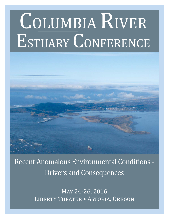# COLUMBIA RIVER ESTUARY CONFERENCE



Recent Anomalous Environmental Conditions - Drivers and Consequences

> MAY 24-26, 2016 LIBERTY THEATER • ASTORIA, OREGON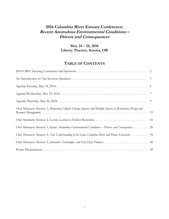# **2016 Columbia River Estuary Conference: Recent Anomalous Environmental Conditions – Drivers and Consequences**

# **May 24 – 26, 2016 Liberty Theater, Astoria, OR**

# **TABLE OF CONTENTS**

| Oral Abstracts: Session 1, Integrating Climate Change Impacts and Multiple Species in Restoration Design and |    |
|--------------------------------------------------------------------------------------------------------------|----|
|                                                                                                              | 16 |
| Oral Abstracts: Session 3, Recent Anomalous Environmental Conditions – Drivers and Consequences.             | 26 |
| Oral Abstracts: Session 4, New Understanding of the Lower Columbia River and Plume Ecosystem                 | 34 |
|                                                                                                              | 46 |
|                                                                                                              |    |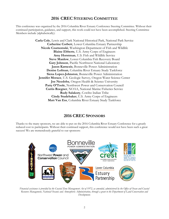# **2016 CREC STEERING COMMITTEE**

This conference was organized by the 2016 Columbia River Estuary Conference Steering Committee. Without their continued participation, guidance, and support, this work could not have been accomplished. Steering Committee Members include (alphabetically):

> **Carla Cole**, Lewis and Clark National Historical Park, National Park Service **Catherine Corbett**, Lower Columbia Estuary Partnership **Nicole Czarnomski**, Washington Department of Fish and Wildlife **Blaine Ebberts**, U.S. Army Corps of Engineers **Amy Horstman**, U.S. Fish and Wildlife Service **Steve Manlow**, Lower Columbia Fish Recovery Board **Gary Johnson**, Pacific Northwest National Laboratory **Jason Karnezis**, Bonneville Power Administration **Denise Lofman**, Columbia River Estuary Study Taskforce **Siena Lopez-Johnston**, Bonneville Power Administration **Jennifer Morace**, U.S. Geologic Survey, Oregon Water Science Center **Joe Needoba**, Oregon Health & Science University Patty O'Toole, Northwest Power and Conservation Council **Curtis Roegner**, NOAA, National Marine Fisheries Service **Rudy Salakory**, Cowlitz Indian Tribe **Cindy Studebaker**, U.S. Army Corps of Engineers **Matt Van Ess**, Columbia River Estuary Study Taskforce

# **2016 CREC SPONSORS**

Thanks to the many sponsors, we are able to put on the 2016 Columbia River Estuary Conference for a greatly reduced cost to participants. Without their continued support, this conference would not have been such a great success! We are tremendously grateful to our sponsors:



*Financial assistance is provided by the Coastal Zone Management Act of 1972, as amended, administered by the Office of Ocean and Coastal Resource Management, National Oceanic and Atmospheric Administration, through a grant to the Department of Land Conservation and Development.*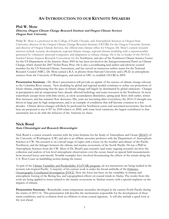# **AN INTRODUCTION TO OUR KEYNOTE SPEAKERS**

### **Phil W. Mote**

### **Director, Oregon Climate Change Research Institute and Oregon Climate Services Oregon State University**

Philip W. Mote is a professor in the College of Earth, Oceanic, and Atmospheric Sciences at Oregon State University; director of the Oregon Climate Change Research Institute (OCCRI) for the Oregon University System; and director of Oregon Climate Services, the official state climate office for Oregon. Dr. Mote's current research interests include scenario development, regional climate change, regional climate modeling with a superensemble generated by volunteers' personal computers, and adaptation to climate change. He is the co-leader of the NOAAfunded Climate Impacts Research Consortium for the Northwest, and also of the Northwest Climate Science Center for the US Department of the Interior. Since 2005 he has been involved in the Intergovernmental Panel on Climate Change, which shared the 2007 Nobel Peace Prize. He is also a coordinating lead author and advisory council member for the US National Climate Assessment, and has served on numerous author teams for the National Research Council (NRC). Dr. Mote earned a B.A. in physics from Harvard University and a Ph.D. in atmospheric sciences from the University of Washington, and arrived at OSU to establish OCCRI in 2009.

**Presentation Summary -** Dr. Mote's presentation will provide an update of the science of climate change relevant to the Columbia River estuary. New modeling by global and regional models continues to refine our projections of future climate, emphasizing that the pace of climate change will largely be determined by global emissions. Changes in precipitation and air temperature have already affected hydrology and water resources in the Northwest. In most watersheds (except those with little snow), as snow accumulation diminishes, spring peak flows shift earlier, winter flow increases, and late-summer flow decreases. Dry years are becoming drier everywhere; the 2014-15 drought was driven in large part by high temperatures, and is an example of conditions that will become common in a few decades. Climate driven changes will likely be profound for Northwest coasts and associated ecosystems. Sea levels here are projected to rise 4-56" by 2100 relative to 2000, with some local variations; the largest contributor to that uncertainty has to do with the behavior of the Antarctic ice sheet.

### **Nick Bond**

### **State Climatologist and Research Meteorologist**

Nick Bond is a senior research scientist with the Joint Institute for the Study of Atmosphere and Ocean (JISAO) of the University of Washington (UW) and also is an affiliate associate professor with the Department of Atmospheric Sciences at UW. His research is on a broad range of topics with a focus on the weather and climate of the Pacific Northwest, and the linkages between the climate and marine ecosystems of the North Pacific. He has a PhD in Atmospheric Sciences from the UW. Most of Dr. Bond's past research (and some ongoing research) involves the collection and analysis of low-level atmospheric observations over the ocean, based on special field measurements from moored buoys and aircraft. Notable examples have involved documenting the effects of the terrain along the U.S. West Coast on landfalling storms during the winter.

As part of the Climate Variability and Predictability (CLIVAR) program, air-sea interactions are being studied in the western sub-tropical Pacific. A majority of his current work is under the broad umbrella of the Fisheries-Oceanography Coordinated Investigation (FOCI). Here the focus has been on the variability in climate and atmospheric forcing of the Bering Sea, and topographical effects on coastal winds in Alaska. The results from this work are being applied to issues related to the marine ecosystems in Alaskan waters, with a special emphasis on the impacts of climate.

**Presentation Summary -** Remarkable warm temperature anomalies developed in the eastern North Pacific during the winter of 2013-14. This presentation will describe the mechanisms responsible for the development of these warm conditions, and its evolution from an offshore to more coastal signature. It will also include a quick look at the year ahead.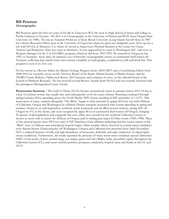### **Bill Peterson Oceanographer**

Bill Peterson spent the first ten years of his life in Vancouver WA. He went to High School in Salem and college at Pacific Lutheran in Tacoma. His M.S. is in Oceanography at the University of Hawaii and Ph.D. from Oregon State University (in 1980). He was an Assistant Professor at Stony Brook University (Long Island) but left there in 1987 for a Senior Research Officer post at the University of Capetown where he spent two delightful years. Next up was a job with NOAA, in Monterey CA, where he served as Supervisory Physical Scientist at the Center for Ocean Analysis and Prediction. After two years in Monterey, he was approached to come to Washington D.C. and serve as Program Manager for the U.S. GLOBEC program, which he did from 1992-1995. He returned to Oregon in late 1995, to Newport. Soon after, he initiated a set of biweekly oceanographic cruises to continental shelf waters off Newport, collecting data which tracks inter-annual variability in hydrography, zooplankton, krill and larval fish. This program is now in its 21st year.

He has served as a Review Editor for Marine Ecology Progress Series (2005-2007) and a Contributing Editor from 2008-2010; he currently serves on the Advisory Board of the South African Journal of Marine Science and the TINRO-Centre Bulletin, Vladivostok Russia (2013-present) and continues to serve on the editorial board of the Journal of Plankton Research. He has received several Bronze Awards from NOAA and was recently honored with the prestigious Distinguished Career Award.

**Presentation Summary -** The Gulf of Alaska (GOA) became anomalously warm in autumn/winter 2013-14 due to a lack of cyclonic storms that usually mix (and subsequently cool) the water column. Warming continued through spring/summer 2014, spreading across the North Pacific (NP) Ocean, resulting in SST anomalies of +4.5°C. This warm mass of water, named colloquially "The Blob," began to shift eastward in spring 2014 but was held offshore of California, Oregon and Washington by offshore Ekman transport associated with coastal upwelling in spring and summer. However, in mid-September, northerly winds weakened, and the Blob moved onshore, raising SST off Oregon by 6<sup>o</sup>C in five hours, and soon occupied the upper 80 m of continental shelf waters off Oregon, bringing  $\sim$ 20 species of phytoplankton and copepods that were either new records for the northern California Current or known to occur only in waters far offshore of Oregon and/or during past major El Niño events (1983, 1998). Many of the unusual species have NP Gyre and/or NP Transition Zone affinities indicating that the source waters of the "Blob" were of offshore and subtropical/tropical origin. Other notable effects observed in coastal waters included a toxic diatom bloom (*Pseudo-nitzschia*) off Washington, Oregon and California that persisted from April-November 2015, a reduced biomass of krill, and high abundance of larvaceans, doliolids, and salps (indicators of oligotrophic ocean conditions). Furthermore, the media reported the presence of many warm water vertebrate species dislocated 1000's of km north of their normal range: sea snakes, green and olive Ridley turtle, moonfish (opah) throughout the California Current (CC), and ocean sunfish, pomfret, pompano, mackerels, tropical tunas and sharks in the CC and GOA.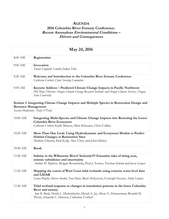# **AGENDA 2016 Columbia River Estuary Conference: Recent Anomalous Environmental Conditions – Drivers and Consequences**

| May 24, 2016               |                                                                                                                                                                                                                                     |
|----------------------------|-------------------------------------------------------------------------------------------------------------------------------------------------------------------------------------------------------------------------------------|
| 8:00 AM                    | Registration                                                                                                                                                                                                                        |
| $9:00$ AM                  | Invocation<br>Tanna Engdahl, Cowlitz Indian Tribe                                                                                                                                                                                   |
| 9:20 AM                    | Welcome and Introduction to the Columbia River Estuary Conference<br>Catherine Corbett, Chair Steering Committee                                                                                                                    |
| 9:30 AM                    | Keynote Address - Predicted Climate Change Impacts in Pacific Northwest<br>Phil Mote, Director, Oregon Climate Change Research Institute and Oregon Climate Services, Oregon<br>State University                                    |
| <b>Resource Management</b> | Session 1: Integrating Climate Change Impacts and Multiple Species in Restoration Design and                                                                                                                                        |
|                            | Session Moderator: Patty O'Toole                                                                                                                                                                                                    |
| 10:00 AM                   | Integrating Multi-Species and Climate Change Impacts into Restoring the Lower<br>Columbia River Ecosystem<br>Catherine Corbett, Keith Marcoe, Matt Schwartz, Chris Collins                                                          |
| 10:20 AM                   | More Than One Look: Using Hydrodynamic and Ecosystem Models to Predict<br><b>Habitat Changes at Restoration Sites</b><br>Matthew Schwartz, Paul Kolp, Alex Uber, and John Hickey                                                    |
| 10:40 AM                   | <b>Break</b>                                                                                                                                                                                                                        |
| 11:00 AM                   | Salinity in the Willamette River? Seriously?!? Estuarine tales of rising seas,<br>seismic subsidence and uncertainty<br>António M. Baptista, Mojgan Rostaminia, Paul J. Turner, Tuomas Kärnä and Jesse Lopez                        |
| 11:20 AM                   | Mapping the extent of West Coast tidal wetlands using extreme water level data<br>and LIDAR<br>Laura Brophy, Hiroo Imaki, Van Hare, Brett Holycross, Correigh Greene, Andy Lanier                                                   |
| 11:40 AM                   | Tidal wetland response to changes in inundation patterns in the lower Columbia<br>River and estuary<br>Amy B. Borde, Heida L. Diefenderfer, David A. Jay, Shon A. Zimmerman, Ronald M.<br>Thom, Amanda C. Hanson, Catherine Corbett |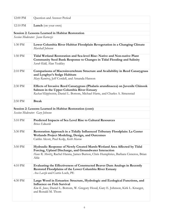| 12:00 PM                        | Question and Answer Period                                                                                                                                                                                                         |
|---------------------------------|------------------------------------------------------------------------------------------------------------------------------------------------------------------------------------------------------------------------------------|
| 12:10 PM                        | Lunch (on your own)                                                                                                                                                                                                                |
|                                 | Session 2: Lessons Learned in Habitat Restoration                                                                                                                                                                                  |
|                                 | Session Moderator: Jason Karnezis                                                                                                                                                                                                  |
| 1:30 PM                         | Lower Columbia River Habitat Floodplain Revegetation in a Changing Climate<br>Marshall Johnson                                                                                                                                     |
| 1:50 PM                         | Tidal Wetland Restoration and Sea-level Rise: Native and Non-native Plant<br>Community Seed Bank Response to Changes in Tidal Flooding and Salinity<br>Sarah Kidd, Alan Yeakley                                                    |
| 2:10 PM                         | Comparisons of Macroinvertebrate Structure and Availability in Reed Canarygrass<br>and Lyngbye's Sedge Habitats<br>Mary Ramirez, Jeff Cordell, and Amanda Hanson                                                                   |
| 2:30 PM                         | Effects of Invasive Reed Canarygrass (Phalaris arundinacea) on Juvenile Chinook<br>Salmon in the Upper Columbia River Estuary<br>Rachael Klopfenstein, Daniel L. Bottom, Michael Harte, and Charles A. Simenstad                   |
| 2:50 PM                         | <b>Break</b>                                                                                                                                                                                                                       |
|                                 | Session 2: Lessons Learned in Habitat Restoration (cont)                                                                                                                                                                           |
| Session Moderator: Gary Johnson |                                                                                                                                                                                                                                    |
| 3:10 PM                         | Predicted Impacts of Sea Level Rise to Cultural Resources<br><b>Briece Edwards</b>                                                                                                                                                 |
| 3:30 PM                         | Restoration Approach in a Tidally Influenced Tributary Floodplain: La Center<br>Wetlands Project Modeling, Design, and Outcomes<br>Caitlin Alcott, Paul Kolp, Keith Marcoe                                                         |
| 3:50 PM                         | Hydraulic Response of Newly Created Marsh-Wetland Area Affected by Tidal<br>Forcing, Upland Discharge, and Groundwater Interaction<br>Hans R. Moritz, Rachel Hanna, James Burton, Chris Humphries, Barbara Cisneros, Brian<br>Able |
| 4:10 PM                         | Evaluating the Effectiveness of Constructed Beaver Dam Analogs in Recently<br>Restored Floodplains of the Lower Columbia River Estuary<br>Ava Laszlo and Curtis Loeb, PE                                                           |
| 4:30 PM                         | Large Wood in Estuaries: Structure, Hydrologic and Ecological Functions, and<br><b>Influence on Fish Survival</b><br>Kim K. Jones, Daniel L. Bottom, W. Gregory Hood, Gary E. Johnson, Kirk L. Krueger,<br>and Ronald M. Thom      |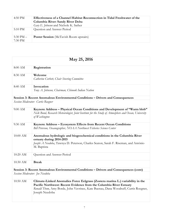| 4:50 PM                | Effectiveness of a Channel Habitat Reconnection in Tidal Freshwater of the<br>Columbia River: Sandy River Delta<br>Gary E. Johnson and Nichole K. Sather |
|------------------------|----------------------------------------------------------------------------------------------------------------------------------------------------------|
| 5:10 PM                | Question and Answer Period                                                                                                                               |
| 5:30 PM $-$<br>7:30 PM | <b>Poster Session</b> (McTavish Room upstairs)                                                                                                           |

| May 25, 2016                                                                           |                                                                                                                                                                                                                                                              |
|----------------------------------------------------------------------------------------|--------------------------------------------------------------------------------------------------------------------------------------------------------------------------------------------------------------------------------------------------------------|
| 8:00 AM                                                                                | Registration                                                                                                                                                                                                                                                 |
| 8:30 AM                                                                                | Welcome<br>Catherine Corbett, Chair Steering Committee                                                                                                                                                                                                       |
| 8:40 AM                                                                                | Invocation<br>Tony A. Johnson, Chairman, Chinook Indian Nation                                                                                                                                                                                               |
|                                                                                        | Session 3: Recent Anomalous Environmental Conditions - Drivers and Consequences                                                                                                                                                                              |
|                                                                                        | Session Moderator: Curtis Roegner                                                                                                                                                                                                                            |
| $9:00$ AM                                                                              | Keynote Address - Physical Ocean Conditions and Development of "Warm blob"<br>Nick Bond, Research Meteorologist, Joint Institute for the Study of Atmosphere and Ocean, University<br>of Washington                                                          |
| 9:30 AM                                                                                | Keynote Address - Ecosystem Effects from Recent Ocean Conditions<br>Bill Peterson, Oceanographer, NOAA Northwest Fisheries Science Center                                                                                                                    |
| 10:00 AM                                                                               | Anomalous hydrologic and biogeochemical conditions in the Columbia River<br>estuary during 2014-2015<br>Joseph A Needoba, Tawnya D. Peterson, Charles Seaton, Sarah F. Riseman, and António<br>M. Baptista                                                   |
| 10:20 AM                                                                               | Question and Answer Period                                                                                                                                                                                                                                   |
| 10:30 AM                                                                               | <b>Break</b>                                                                                                                                                                                                                                                 |
| Session 3: Recent Anomalous Environmental Conditions - Drivers and Consequences (cont) |                                                                                                                                                                                                                                                              |
| Session Moderator: Joe Needoba                                                         |                                                                                                                                                                                                                                                              |
| 10:50 AM                                                                               | Climate-Linked Anomalies Force Eelgrass (Zostera marina L.) variability in the<br>Pacific Northwest: Recent Evidence from the Columbia River Estuary<br>Ronald Thom, Amy Borde, John Vavrinec, Kate Buenau, Dana Woodruff, Curtis Roegner,<br>Joseph Needoba |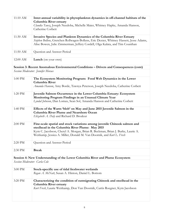| 11:10 AM                      | Inter-annual variability in phytoplankton dynamics in off-channel habitats of the<br>Columbia River estuary                                                             |
|-------------------------------|-------------------------------------------------------------------------------------------------------------------------------------------------------------------------|
|                               | Claudia Tausz, Joseph Needoba, Michelle Maier, Whitney Hapke, Amanda Hanson,<br>Catherine Corbett                                                                       |
| 11:30 AM                      | Invasive Species and Plankton Dynamics of the Columbia River Estuary                                                                                                    |
|                               | Stephen Bollens, Gretchen Rollwagen-Bollens, Eric Dexter, Whitney Hassett, Jesse Adams,<br>Alise Bowen, Julie Zimmerman, Jeffery Cordell, Olga Kalata, and Tim Counihan |
| 11:50 AM                      | Question and Answer Period                                                                                                                                              |
| 12:00 AM                      |                                                                                                                                                                         |
|                               | Lunch (on your own)                                                                                                                                                     |
|                               | Session 3: Recent Anomalous Environmental Conditions - Drivers and Consequences (cont)                                                                                  |
|                               | Session Moderator: Jennifer Morace                                                                                                                                      |
| 1:00 PM                       | The Ecosystem Monitoring Program: Food Web Dynamics in the Lower                                                                                                        |
|                               | Columbia River                                                                                                                                                          |
|                               | Amanda Hanson, Amy Borde, Tawnya Peterson, Joseph Needoba, Catherine Corbett                                                                                            |
| 1:20 PM                       | Juvenile Salmon Occurrence in the Lower Columbia Estuary: Ecosystem                                                                                                     |
|                               | Monitoring Program Findings in an Unusual Climate Year<br>Lyndal Johnson, Dan Lomax, Sean Sol, Amanda Hanson and Catherine Corbett                                      |
|                               |                                                                                                                                                                         |
| 1:40 PM                       | Effects of the Warm 'blob' on May and June 2015 Juvenile Salmon in the                                                                                                  |
|                               | <b>Columbia River Plume and Nearshore Ocean</b><br>Elizabeth A. Daly and Richard D. Brodeur                                                                             |
|                               |                                                                                                                                                                         |
| 2:00 PM                       | Fine-scale spatial and stock variations among juvenile Chinook salmon and                                                                                               |
|                               | steelhead in the Columbia River Plume: May 2015<br>Kym C. Jacobson, Cheryl A. Morgan, Brian R. Beckman, Brian J. Burke, Laurie A.                                       |
|                               | Weitkamp, Jessica A. Miller, Donald M. Van Doornik, and Kurt L. Fresh                                                                                                   |
|                               |                                                                                                                                                                         |
| 2:20 PM                       | Question and Answer Period                                                                                                                                              |
| 2:30 PM                       | <b>Break</b>                                                                                                                                                            |
|                               | Session 4: New Understanding of the Lower Columbia River and Plume Ecosystem                                                                                            |
| Session Moderator: Carla Cole |                                                                                                                                                                         |
| 3:00 PM                       | Stock-specific use of tidal freshwater wetlands                                                                                                                         |
|                               | Regan A. McNatt, Susan A. Hinton, Daniel L. Bottom                                                                                                                      |
| 3:20 PM                       | Characterizing the condition of outmigrating Chinook and steelhead in the                                                                                               |
|                               | Columbia River estuary                                                                                                                                                  |
|                               | Kurt Fresh, Laurie Weitkamp, Don Van Doornik, Curtis Roegner, Kym Jacobson                                                                                              |
|                               |                                                                                                                                                                         |
|                               |                                                                                                                                                                         |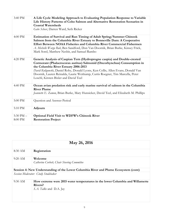| 3:40 PM     | A Life Cycle Modeling Approach to Evaluating Population Response to Variable<br>Life History Patterns of Coho Salmon and Alternative Restoration Scenarios in<br><b>Coastal Watersheds</b><br>Gabe Scheer, Darren Ward, Seth Ricker                                                                                                                                                                         |
|-------------|-------------------------------------------------------------------------------------------------------------------------------------------------------------------------------------------------------------------------------------------------------------------------------------------------------------------------------------------------------------------------------------------------------------|
| 4:00 PM     | Estimation of Survival and Run Timing of Adult Spring/Summer Chinook<br>Salmon from the Columbia River Estuary to Bonneville Dam: A Cooperative<br>Effort Between NOAA Fisheries and Columbia River Commercial Fishermen<br>A. Michelle Wargo Rub, Ben Sandford, Don Van Doornik, Brian Burke, Kinsey Frick,<br>Mark Sorel, Matthew Nesbit, and Samuel Rambo                                                |
| 4:20 PM     | Genetic Analysis of Caspian Tern (Hydroprogne caspia) and Double-crested<br>Cormorant (Phalacrocorax auritus) Salmonid (Oncorhynchus) Consumption in<br>the Columbia River Estuary 2006-2013<br>David Kuligowski, Daniel Roby, Donald Lyons, Ken Collis, Allen Evans, Donald Van<br>Doornik, Lauren Reinalda, Laurie Weitkamp, Curtis Roegner, Tim Marcella, Peter<br>Loschl, Kirsten Bixler and David Teel |
| 4:40 PM     | Ocean avian predation risk and early marine survival of salmon in the Columbia<br><b>River Plume</b><br>Jeannette E. Zamon, Brian Burke, Mary Hunsicker, David Teel, and Elizabeth M. Phillips                                                                                                                                                                                                              |
| 5:00 PM     | Question and Answer Period                                                                                                                                                                                                                                                                                                                                                                                  |
| 5:10 PM     | Adjourn                                                                                                                                                                                                                                                                                                                                                                                                     |
| 5:30 PM $-$ | <b>Optional Field Visit to WDFW's Chinook River</b>                                                                                                                                                                                                                                                                                                                                                         |
| 8:00 PM     | <b>Restoration Project</b>                                                                                                                                                                                                                                                                                                                                                                                  |
|             |                                                                                                                                                                                                                                                                                                                                                                                                             |

| May 26, 2016                                                                        |                                                                                                                     |
|-------------------------------------------------------------------------------------|---------------------------------------------------------------------------------------------------------------------|
| 8:30 AM                                                                             | Registration                                                                                                        |
| $9:20$ AM                                                                           | Welcome<br>Catherine Corbett, Chair Steering Committee                                                              |
| Session 4: New Understanding of the Lower Columbia River and Plume Ecosystem (cont) |                                                                                                                     |
| Session Moderator: Cindy Studebaker                                                 |                                                                                                                     |
| $9:30$ AM                                                                           | How extreme were 2015 water temperatures in the lower Columbia and Willamette<br>Rivers?<br>S.A. Talke and D.A. Jay |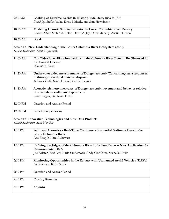| 9:50 AM  | Looking at Extreme Events in Historic Tide Data, 1853 to 1876                 |
|----------|-------------------------------------------------------------------------------|
|          | David Jay, Stefan Talke, Drew Mahedy, and Sam Hawkinson                       |
| 10:10 AM | Modeling Historic Salinity Intrusion in Lower Columbia River Estuary          |
|          | Lumas Helaire, Stefan A. Talke, David A. Jay, Drew Mahedy, Austin Hudson      |
| 10:30 AM | <b>Break</b>                                                                  |
|          | Session 4: New Understanding of the Lower Columbia River Ecosystem (cont)     |
|          | Session Moderator: Nicole Czarnomski                                          |
| 11:00 AM | Can Tide/River-Flow Interactions in the Columbia River Estuary Be Observed in |
|          | the Coastal Ocean?                                                            |
|          | Edward D. Zaron                                                               |
| 11:20 AM | Underwater video measurements of Dungeness crab (Cancer magister) responses   |
|          | to thin-layer dredged material disposal                                       |
|          | Stephanie Fields, Sarah Henkel, Curtis Roegner                                |
| 11:40 AM | Acoustic telemetry measures of Dungeness crab movement and behavior relative  |
|          | to a nearshore sediment disposal site                                         |
|          | Curtis Roegner, Stephanie Fields                                              |
| 12:00 PM | Question and Answer Period                                                    |
| 12:10 PM | Lunch (on your own)                                                           |
|          | Session 5: Innovative Technologies and New Data Products                      |
|          | Session Moderator: Matt Van Ess                                               |
| 1:30 PM  | Sediment Acoustics - Real-Time Continuous Suspended Sediment Data in the      |
|          | <b>Lower Columbia River</b>                                                   |
|          | Paul Diaz Jr, Marc A Stewart                                                  |
| 1:50 PM  | Refining the Edges of the Columbia River Eulachon Run - A New Application for |
|          | <b>Environmental DNA</b>                                                      |
|          | Joe Krieter, Taal Levi, Maria Sandercock, Andy Clodfelter, Michelle Hollis    |
| 2:10 PM  | Monitoring Opportunities in the Estuary with Unmanned Aerial Vehicles (UAVs)  |
|          | Ian Sinks and Keith Steele                                                    |
| 2:30 PM  | Question and Answer Period                                                    |
|          |                                                                               |
| 2:40 PM  | <b>Closing Remarks</b>                                                        |
| 3:00 PM  | Adjourn                                                                       |
|          |                                                                               |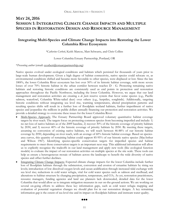# **MAY 24, 2016 SESSION 1: INTEGRATING CLIMATE CHANGE IMPACTS AND MULTIPLE SPECIES IN RESTORATION DESIGN AND RESOURCE MANAGEMENT**

# **Integrating Multi-Species and Climate Change Impacts into Restoring the Lower Columbia River Ecosystem**

*\*Catherine Corbett*, Keith Marcoe, Matt Schwartz, and Chris Collins

Lower Columbia Estuary Partnership, Portland, OR

### \**Presenting author* (email: ccorbett@estuarypartnership.org)

Native species evolved under ecological conditions and habitats which persisted for thousands of years prior to large-scale human development. Given a high degree of habitat connectivity, native species could relocate or, as environmental conditions shifted and became more favorable to other species, were displaced or lost. Since the late 1800's, the lower Columbia River ecosystem has lost over 50% of its historic habitat coverage, with more severe losses of over 70% historic habitat in the urban corridor between reaches D - G. Protecting remaining native habitats and restoring historic conditions are consistently used as end points in protection and restoration approaches throughout the Pacific Northwest, including the lower Columbia. However, we argue that our land management and restoration activities are creating a *de facto* reserve system that favor some species (e.g., Pacific salmon, waterfowl, Columbia White-tailed deer) over others (e.g., herptiles, songbirds). Additionally, targeting historic conditions without integrating sea level rise, warming temperatures, altered precipitation patterns and resulting species shifts will result in a further loss of floodplain wetland habitats, further imperilment of native species and jeopardize the millions in public dollars annually financing our protection and restoration activities. We provide a detailed strategy to overcome these issues for the lower Columbia River:

- Multi-Species Approach: The Estuary Partnership Board approved voluntary quantitative habitat coverage targets by river reach. The targets focus on protecting common species from becoming imperiled and include: 1) no net loss of native habitats as of the 2009 baseline, 2) recover 30% of the historic coverage of priority habitats by 2030, and 3) recover 40% of the historic coverage of priority habitats by 2050. By meeting these targets, assuming no conversion of existing native habitats, we will reach between 46-88% of our historic habitat coverage by 2050, depending on river reach, with an average of 60% historic habitat coverage. Based on speciesarea curves, this quantity of remaining habitat could support 85-95% of our historic native species (MacArthur and Wilson 1967). Identifying species-specific conservation targets for imperiled species and habitat requirements to meet those conservation targets is an important next step. This additional information will allow us to explicitly recognize the tradeoffs in our land management and apply new tools (like ecological function models) to evaluate the impact of our restoration activities on multiple species at the site scale. These tools can help us ensure a heterogeneous mosaic of habitats across the landscape to benefit the wide diversity of native species and offset further declines.
- Integrating Climate Change Impacts: Expected climate change impacts for the lower Columbia include further loss of floodplain habitats through the submersion, conversion and erosion of estuarine habitats by rising sea levels; introduction of low dissolved oxygen levels and ocean acidification through increased tidal exchange with sea level rise; reductions in cold water refugia, vital for cold water species such as salmon and steelhead; and alterations to habitat structure by changing precipitation, temperature, and CO2. As yet, restoration practitioners, resource managers, funding agencies and land use planners lack downscaled, detailed data for the lower Columbia that would allow us to integrate mitigation measures in our on-the-ground actions. We are working on several on-going efforts to address these key information gaps, such as cold water refugia mapping and evaluation of potential vegetation changes we should plan for in our restoration designs. A key remaining information gap is the extent of sea level rise and its impact on floodplain habitats and instream water quality.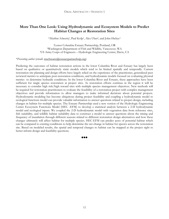## **More Than One Look: Using Hydrodynamic and Ecosystem Models to Predict Habitat Changes at Restoration Sites**

\**Matthew Schwartz1*, Paul Kolp1, Alex Uber2, and John Hickey3

1Lower Columbia Estuary Partnership, Portland, OR 2Washington Department of Fish and Wildlife, Vancouver, WA 3US Army Corps of Engineers – Hydrologic Engineering Center, Davis, CA

### \**Presenting author* (email: mschwartz@estuarypartnerhsip.org)

Predicting the outcomes of habitat restoration actions in the lower Columbia River and Estuary has largely been based on qualitative or quantitatively static models which tend to be limited spatially and temporally. Current restoration site planning and design efforts have largely relied on the experience of the practitioner, generalized peer reviewed metrics to anticipate post-restoration conditions, and hydrodynamic models focused on evaluating physical metrics to determine hydraulic conditions. In the lower Columbia River and Estuary, these approaches have been sufficient for single species restoration at project sites. As restoration efforts continue in the region it will be necessary to consider high risk/high reward sites with multiple species management objectives. New methods will be required for restoration practitioners to evaluate the feasibility of a restoration project with complex management objectives and provide information to allow managers to make informed decisions about potential projects. Hydrodynamic modeling has become ubiquitous during project feasibility and coupling a hydrodynamic model to ecological functions model can provide valuable information to answer questions related to project design, including changes in habitat for multiple species. The Estuary Partnership used a new version of the Hydrologic Engineering Center Ecosystem Functions Model (HEC -EFM) to develop a statistical analysis between a 2-D hydrodynamic model and ecological inputs. We coupled the 2-D hydrodynamic model with vegetation data from reference sites, fish suitability, and wildlife habitat suitability data to construct a model to answer questions about the timing and frequency of inundation through different seasons related to different restoration design alternatives and how these changes ultimately will affect habitat for multiple species. HEC-EFM can predict acres of potential habitat which can be compared to existing conditions to help determine the net change in habitat for species across the restoration site. Based on modeled results, the spatial and temporal changes to habitat can be mapped at the project sight to better inform design and feasibility questions.

88 Q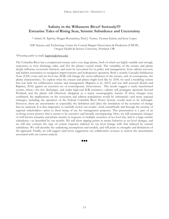# **Salinity in the Willamette River? Seriously?!? Estuarine Tales of Rising Seas, Seismic Subsidence and Uncertainty**

\**António M. Baptista*, Mojgan Rostaminia, Paul J. Turner, Tuomas Kärnä, and Jesse Lopez

NSF Science and Technology Center for Coastal Margin Observation & Prediction (CMOP), Oregon Health & Science University, Portland, OR

### \**Presenting author* (e-mail: baptista@ohsu.edu)

The Columbia River has a compressed estuary and a very large plume, both of which are highly variable and strongly responsive to river discharge, tides, and (for the plume) coastal winds. The variability of the estuary and plume deeply influence ecosystem function, and must be accounted for in policy and management, from salmon recovery and habitat restoration to navigation improvements and hydropower operation. Both a seismic Cascadia Subduction Zone (CSZ) event and sea level rise (SLR) will change the ocean influences in the estuary, and, in consequence, the plume characteristics. To explore what the estuary and plume might look like by 2100, we used a modeling system that was built for collaborative science and management (Baptista et al., 2015) and was skill assessed (Kärnä and Baptista, 2016) against an extensive set of contemporary observations. The results suggest a vastly transformed system, where—for low discharges, and under high-end SLR scenarios—salinity will propagate upstream beyond Portland, and the plume will effectively disappear as a major oceanographic feature. If these changes were confirmed, the implications on the ecosystem and salmon populations would be substantial—and many regional strategies, including the operation of the Federal Columbia River Power System, would need to be rethought. However, there are uncertainties in (especially) the definition and (also) the simulation of the scenarios of change that we analyzed. It is thus imperative to carefully review our results—both scientifically and through the scrutiny of regional stakeholders—prior to them being of use for management purposes. This presentation is a part of an evolving review process that is meant to be extensive and broadly encompassing. Here, we will summarize changes of well known estuarine and plume metrics in response to multiple scenarios of sea level rise, and to a large seismic subsidence—as described by our models. We will show tipping points in metric behavior as sea level changes, and we will also contrast the type of system response induced by sea level change with that induced by seismic subsidence. We will describe the underlying assumptions and models, and will point to strengths and limitations of the approach. Finally, we will suggest (and invite suggestions on) collaborative avenues to narrow the uncertainties associated with our current analysis.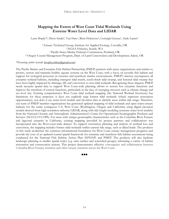# **Mapping the Extent of West Coast Tidal Wetlands Using Extreme Water Level Data and LIDAR**

Laura Brophy<sup>\*1</sup>, Hiroo Imaki<sup>2</sup>, Van Hare<sup>3</sup>, Brett Holycross<sup>3</sup>, Correigh Greene<sup>2</sup>, Andy Lanier<sup>4</sup>

<sup>1</sup> Estuary Technical Group, Institute for Applied Ecology, Corvallis, OR<br><sup>2</sup> NOAA Fisheries, Seattle, WA 3 Pacific States Marine Fisheries Commission, Portland, OR 4 Oregon Coastal Management Program, Dept. of Land Conservation and Development, Salem, OR

### *\*Presenting author* (email: brophyonline@gmail.com)

The Pacific Marine and Estuarine Fish Habitat Partnership (PMEP) partners with many organizations and entities to protect, restore and maintain healthy aquatic systems on the West Coast, with a focus on juvenile fish habitat and support for ecological processes in estuaries and nearshore marine environments. PMEP's interest encompasses all estuarine wetland habitats, including emergent tidal marsh, scrub-shrub tidal swamp, and forested tidal swamp that have been highly impacted by drainage, fill, and conversion to non-tidal wetlands. Recognizing these impacts, PMEP needs accurate spatial data to support West Coast-wide planning efforts to restore lost estuarine functions and improve the retention of current functions, particularly in the face of emerging stressors such as climate change and sea level rise. Existing comprehensive West Coast tidal wetland mapping (the National Wetland Inventory) has limitations for these purposes: it does not explicitly map former tidal wetlands (which represent restoration opportunities), nor does it use water level models and elevation data to identify areas within tide range. Therefore, our team of PMEP member organizations has generated updated mapping of tidal wetlands and open water estuary habitats for the entire contiguous U.S. West Coast (Washington, Oregon and California) using digital elevation models derived from high-resolution airborne LIDAR, along with tide height modeling (extreme water level models) from the National Oceanic and Atmospheric Administration's Center for Operational Oceanographic Products and Services (NOAA/CO-OPS). For areas with unique geomorphic characteristics such as the Columbia River Estuary and lagoonal estuaries in California, existing mapping provided by project partners and collaborators was incorporated into the West-coast-wide dataset. To support restoration planning and analysis of wetland loss and conversion, the mapping includes former tidal wetlands within current tide range, such as diked lands. The products of this study modernize the common informational foundation for West Coast estuary management programs and provide the core of an updated coastal spatial framework for estuarine and nearshore fish habitat assessments being conducted for the National Fish Habitat Action Plan (NFHAP) and PMEP. The products will also facilitate landscape planning at smaller spatial scales (e.g. state entities and watershed groups), informing a variety of habitat restoration and conservation actions. This project demonstrates effective convergence and collaboration between Columbia River Estuary scientists and other estuary scientists across the West Coast.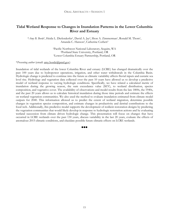### **Tidal Wetland Response to Changes in Inundation Patterns in the Lower Columbia River and Estuary**

\**Amy B. Borde1*, Heida L. Diefenderfer1, David A. Jay2, Shon A. Zimmerman1, Ronald M. Thom1, Amanda C. Hanson<sup>3</sup>, Catherine Corbett<sup>3</sup>

> 1Pacific Northwest National Laboratory, Sequim, WA 2Portland State University, Portland, OR 3Lower Columbia Estuary Partnership, Portland, OR

\**Presenting author* (email: amy.borde@pnnl.gov)

Inundation of tidal wetlands of the lower Columbia River and estuary (LCRE) has changed dramatically over the past 100 years due to hydropower operations, irrigation, and other water withdrawals in the Columbia Basin. Hydrologic change is predicted to continue into the future as climatic variability affects fluvial inputs and eustatic sea level rise. Hydrology and vegetation data collected over the past 10 years have allowed us to develop a predictive model of wetland response to varying hydrologic conditions. Specifically, we have related a calculated metric of inundation during the growing season, the sum exceedance value (SEV), to wetland distribution, species composition, and vegetative cover. The availability of observations and model results from the late 1800s, the 1940s, and the past 20 years allows us to calculate historical inundation during those time periods and estimate the effects on wetland vegetation communities. We also used the method to evaluate inundation estimated from climate model outputs for 2040. This information allowed us to predict the extent of wetland migration, determine possible changes in vegetation species composition, and estimate changes in productivity and detrital contributions to the food web. Additionally, this predictive model supports the development of resilient restoration designs by predicting the vegetation communities that would likely develop in response to hydrologic restoration actions and by evaluating wetland succession from climate driven hydrologic change. This presentation will focus on changes that have occurred in LCRE wetlands over the past 130 years, discuss variability in the last 20 years, evaluate the effects of anomalous 2015 climatic conditions, and elucidate possible future climatic effects on LCRE wetlands.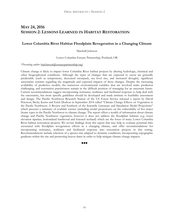# **MAY 24, 2016 SESSION 2: LESSONS LEARNED IN HABITAT RESTORATION**

### **Lower Columbia River Habitat Floodplain Revegetation in a Changing Climate**

Marshall Johnson

Lower Columbia Estuary Partnership, Portland, OR

### \**Presenting author* (mjohnson@estuarypartnership.org)

Climate change is likely to impact lower Columbia River habitat projects by altering hydrologic, chemical and other biogeophysical conditions. Although the types of changes that are expected to occur are generally predictable (such as temperature, decreased snowpack, sea level rise, and increased drought), significant uncertainty remains regarding the magnitude and expected impacts of these changes. Despite the increasing availability of predictive models, the numerous environmental variables that are involved make prediction challenging, and restoration practitioners remain in the difficult position of managing for an uncertain future. Current recommendations suggest incorporating resistance, resilience and facilitated response to help deal with the uncertainty, but more specific guidelines should be developed and made intrinsic to feasibility assessment and design. The Pacific Northwest Research Station of the US Forest Service released a report by David Peterson, Becky Kerns and Erich Dodson in September 2014 called "Climate Change Effects on Vegetation in the Pacific Northwest: A Review and Synthesis of the Scientific Literature and Simulation Model Projections" which presents a summary of available science (including model projections) on the vulnerability of five major biome types in the Pacific Northwest to climate change. The report offers a wealth of information about climate change and Pacific Northwest vegetation, however it does not address the floodplain habitats (e.g. lower elevation riparian, bottomland hardwood and forested wetland) which are the focus of many Lower Columbia River habitat restoration projects. We review findings from this report that may help to evaluate potential risks associated with floodplain revegetation efforts in a changing climate, and offer recommendations for incorporating resistance, resilience and facilitated response into restoration projects in this setting. Recommendations include selection of a species mix adapted to dynamic conditions, incorporating topographic gradients within the site and promoting beaver dams in order to help mitigate climate change impacts.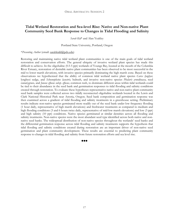# **Tidal Wetland Restoration and Sea-level Rise: Native and Non-native Plant Community Seed Bank Response to Changes in Tidal Flooding and Salinity**

*Sarah Kid*\* and Alan Yeakley

Portland State University, Portland, Oregon

\**Presenting Author* (email: sarahkidd@pdx.edu)

Restoring and maintaining native tidal wetland plant communities is one of the main goals of tidal wetland restoration and conservation efforts. The general ubiquity of invasive wetland plant species has made this difficult to achieve. In the oligohaline (0.5-5 ppt) wetlands of Youngs Bay, located at the mouth of the Columbia River Estuary, restoration of desirable native plant communities has been observed to be most successful in the mid to lower marsh elevations, with invasive species primarily dominating the high marsh zone. Based on these observations we hypothesized that the ability of common tidal wetland native plant species *Carex lyngbyei,*  lyngbyei sedge, and *Schoenoplectus lacustris,* bulrush, and invasive non-native species *Phalaris arundinacea,* reed canarygrass*,* and *Juncus effusus subsp. effusus,* common rush, to dominate different areas within tidal wetlands could be tied to their abundance in the seed bank and germination responses to tidal flooding and salinity conditions created through restoration. To evaluate these hypotheses representative native and non-native plant community seed bank samples were collected across two tidally reconnected oligohaline wetlands located in the Lewis and Clark National Historical Park near Astoria, Oregon. Seed bank composition and germination response was then examined across a gradient of tidal flooding and salinity treatments in a greenhouse setting. Preliminary results indicate non-native species germinated more readily out of the seed bank under low frequency flooding (1 hour daily, representative of high marsh elevations) and freshwater treatments as compared to medium and high flooding conditions (3 and 6 hours twice daily, representative of mid-low marsh elevations) and low (3 ppt) and high salinity (10 ppt) conditions. Native species germinated at similar densities across all flooding and salinity treatments. Non-native species were the most abundant seed type identified across both native and nonnative seed banks. The widespread distribution of non-native species throughout the wetlands' seed banks and the differential germination response across tidal flooding and salinity treatments supports the hypothesis that tidal flooding and salinity conditions created during restoration are an important driver of non-native seed germination and plant community development. These results are essential to predicting plant community response to changes in tidal flooding and salinity from future restoration efforts and sea level rise.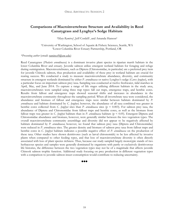# **Comparisons of Macroinvertebrate Structure and Availability in Reed Canarygrass and Lyngbye's Sedge Habitats**

*\*Mary Ramirez<sup>1</sup>*, Jeff Cordell<sup>1</sup>, and Amanda Hanson<sup>2</sup>

1University of Washington, School of Aquatic & Fishery Sciences, Seattle, WA 2Lower Columbia River Estuary Partnership, Portland, OR

*\*Presenting author* (email: ramirez9@uw.edu)

Reed Canarygrass (*Phalaris arundinacea*) is a dominant invasive plant species in riparian marsh habitats in the lower Columbia River and estuary. Juvenile salmon utilize emergent wetland habitats for foraging and refuge during outmigration. Macroinvertebrates, such as Diptera (Chironomidae, in particular) are a preferred prey item for juvenile Chinook salmon, thus production and availability of these prey in wetland habitats are crucial for rearing success. We conducted a study to measure macroinvertebrate abundance, diversity, and community structure in emergent wetlands dominated by either *P. arundinacea* or native Lyngbye's sedge (*Carex lyngbyei*), with a particular focus on important salmon prey taxa. Sampling was conducted at twelve freshwater, tidal marshes in April, May, and June 2014. To capture a range of life stages utilizing different habitats in the study area, macroinvertebrates were sampled using three trap types: fall out traps, emergence traps, and benthic cores. Results from fallout and emergence traps showed seasonal shifts and increases in abundance in the macroinvertebrate community throughout the sampling period. When all invertebrate taxa were considered, the abundance and biomass of fallout and emergence traps were similar between habitats dominated by *P. arundinacea* and habitats dominated by *C. lyngbyei*; however, the abundance of all taxa combined was greater in benthic cores collected from *C. lyngbyei* sites than *P. arundinacea* sites (p = 0.003). For salmon prey taxa, the abundance of Diptera and Chironomidae from fallout traps and benthic cores, as well as the biomass from fallout traps was greater in *C. lyngbyei* habitats than in *P. arundinacea* habitats (p < 0.05). Emergent Diptera and Chironomidae abundance and biomass, however, were generally similar between the two vegetation types. The overall macroinvertebrate community assemblage and diversity did not appear to be negatively affected by habitats dominated by *P. arundinacea*; however, we found that salmon prey taxa (Diptera and Chironomidae) were reduced in *P. arundinacea* sites. The greater density and biomass of salmon prey taxa from fallout traps and benthic cores in *C. lyngbyei* habitats indicates a possible negative effect of *P. arundinacea* on the production of these taxa. Other studies have shown detritivores (such as larval chironomids) to be less affected by invasive plants when compared to other feeding types, and that loss of macroinvertebrate diversity is often directly associated with loss of plant species richness. Thus, because our study sampled largely monotypic stands of two herbaceous species and samples were generally dominated by organisms with partly or exclusively detritivorous life histories, the difference between the two vegetation types may not be of a magnitude that affects juvenile Chinook salmon trophic function. Additional study focusing on prey production in different vegetation types with a comparison to juvenile salmon insect consumption would contribute to reducing uncertainty.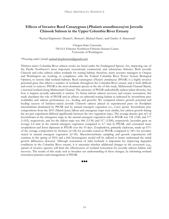### **Effects of Invasive Reed Canarygrass (Phalaris arundinacea) on Juvenile Chinook Salmon in the Upper Columbia River Estuary**

\**Rachael Klopfenstein1,* Daniel L. Bottom2, Michael Harte1, and Charles A. Simenstad3

1Oregon State University 2NOAA Fisheries Northwest Fisheries Science Center 3University of Washington

### *\*Presenting author* (email: rachael.klopfenstein@gmail.com)

Thirteen native Columbia River salmon stocks are listed under the Endangered Species Act, impacting one of the Pacific Northwest's most important recreational, commercial, and subsistence fisheries. Both juvenile Chinook and coho salmon utilize wetlands for rearing habitat; therefore, many resource managers in Oregon and Washington are working, in compliance with the Federal Columbia River Power System Biological Opinion, to restore tidal wetland habitats. Reed canarygrass (*Phalaris arundinacea*) (PHAR) is a highly invasive perennial grass that affects a number of wetlands throughout the Columbia River estuary and is both difficult and costly to remove. PHAR is the most dominant species at the site of this study, Multnomah Channel Marsh, a restored wetland along Multnomah Channel. The presence of PHAR undoubtedly reduces plant diversity, but how it impacts juvenile salmonids is unclear. To better inform salmon recovery and estuary restoration, this study elucidates the role of PHAR and its effects on salmonid rearing habitat as indicated by invertebrate prey availability and salmon performance (i.e., feeding and growth). We compared relative growth potential and feeding success of hatchery-raised juvenile Chinook salmon placed in experimental pens on floodplain microhabitats dominated by PHAR and by natural emergent vegetation (i.e., *Carex aperta*). Invertebrate prey compositions from the 2015 (March-June) fallout and emergence traps were similar, but salmon growth during the net pen experiment differed significantly between the two vegetation types. The average density (per m2) of invertebrates in the emergence traps in the natural emergent vegetation and in PHAR was 124 (±46) and 177  $(\pm 103)$ , respectively, and for the fallout traps was 446 ( $\pm 136$ ) and 517 ( $\pm 200$ ), respectively. Juveniles grew an average 6.4 mm in the natural emergent vegetation compared to 4.7 mm in PHAR, and consumed more zooplankton and fewer dipterans in PHAR over the 10 days. Zooplankton, primarily cladocera, made up 67% of the average composition by biomass (n=28) for juveniles reared in PHAR, compared to 34% for juveniles reared in natural emergent vegetation (n=30). Macroinvertebrate sampling and growth experiments will continue in the spring of 2016 and a fish bioenergetics model will be utilized to better understand the initial growth differences detected. Although restoration of tidal wetlands is important for improving degraded conditions in the Columbia River estuary, it is uncertain whether additional changes in the ecosystem (e.g., spread of invasive species) will limit the effectiveness of wetland restoration for juvenile salmon habitat and recovery. The results of this study seek to broaden our understanding of these changes, by informing wetland restoration practices and management of PHAR.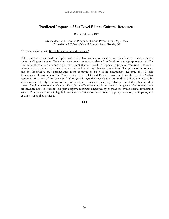# **Predicted Impacts of Sea Level Rise to Cultural Resources**

Briece Edwards, RPA

Archaeology and Research Program, Historic Preservation Department Confederated Tribes of Grand Ronde, Grand Ronde, OR

*\*Presenting author* (email: Briece.Edwards@grandronde.org)

Cultural resources are markers of place and action that can be contextualized on a landscape to create a greater understanding of the past. Today, increased storm energy, accelerated sea level rise, and a preponderance of 'at risk' cultural resources are converging at a point that will result in impacts to physical resources. However, cultural understanding and connection to place will persist as it has for generations. The places of importance and the knowledge that accompanies them continue to be held in community. Recently the Historic Preservation Department of the Confederated Tribes of Grand Ronde began examining the question "What resources are at risk of sea level rise?" Through ethnographic records and oral traditions there are lessons by which we can identify potential avenues or examples of resilience used by tribal people of this place at other times of rapid environmental change. Though the effects resulting from climatic change are often severe, there are multiple lines of evidence for past adaptive measures employed by populations within coastal inundation zones. This presentation will highlight some of the Tribe's resource concerns, perspectives of past impacts, and examples of applied projects.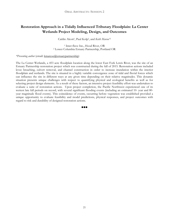# **Restoration Approach in a Tidally Influenced Tributary Floodplain: La Center Wetlands Project Modeling, Design, and Outcomes**

Caitlin Alcott1, Paul Kolp2, and *Keith Marcoe*\*2

1 Inter-fluve Inc., Hood River, OR 2 Lower Columbia Estuary Partnership, Portland OR

### *\*Presenting author* (email: kmarcoe@estuarypartnership)

The La Center Wetlands, a 453 acre floodplain location along the lower East Fork Lewis River, was the site of an Estuary Partnership restoration project which was constructed during the fall of 2015. Restoration actions included levee breaching, culvert removal, and channel construction in order to increase inundation within the interior floodplain and wetlands. The site is situated in a highly variable convergence zone of tidal and fluvial forces which can influence the site in different ways at any given time depending on their relative magnitudes. This dynamic situation presents unique challenges with respect to quantifying physical and ecological benefits as well as for selecting project design elements. As a result of these factors, an intensive project feasibility effort was undertaken to evaluate a suite of restoration actions. Upon project completion, the Pacific Northwest experienced one of its wettest late fall periods on record, with several significant flooding events (including an estimated 10- year and 80 year magnitude flood events). This coincidence of events, occurring before vegetation was established provided a unique opportunity to evaluate feasibility and model predictions, physical responses, and project outcomes with regard to risk and durability of designed restoration actions.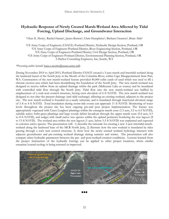# **Hydraulic Response of Newly Created Marsh-Wetland Area Affected by Tidal Forcing, Upland Discharge, and Groundwater Interaction**

\**Hans R. Moritz<sup>1</sup>*, Rachel Hanna<sup>2</sup>, James Burton<sup>2</sup>, Chris Humphries<sup>3</sup>, Barbara Cisneros<sup>4</sup>, Brian Able<sup>5</sup>

1US Army Corps of Engineers (USACE)-Portland District, Hydraulic Design Section, Portland, OR 2US Army Corps of Engineers-Portland District, River Engineering Section, Portland, OR 3US Army Corps of Engineers-Portland District, Civil Design Section, Portland, OR 4US Army Corps of Engineers-Portland District, Environmental Planning Section, Portland, OR 5 Harbor Consulting Engineers, Inc, Seattle, WA

### *\*Presenting author* (email: hans.r.moritz@usace.army.mil)

During November 2014 to April 2015, Portland District-USACE created a 3-acre marsh and intertidal wetland along the landward based of the North Jetty at the Mouth of the Columbia River, within Cape Disappointment State Part, WA. Construction of the new marsh-wetland feature provided 40,000 cubic yards of sand which was used to fill a chronic erosion area which had been destabilizing the foundation of the North Jetty. The new marsh-wetland was designed to receive inflow from an upland drainage within the park (McKenzie Lake as source) and be inundated with controlled tidal flow through the North Jetty. Tidal flow into the new marsh-wetland was baffled by emplacement of a rock-weir control structure, having crest elevation of 6 ft NAVD. The new marsh-wetland was designed to not alter the present drainage (and tidal exchange) affecting an existing wetland, adjacent to the project site. The new marsh-wetland is founded on a sandy substrate, and is inundated through functional elevation range of 3 ft to 8 ft NAVD. Total inundation during storm-tide events can approach 11 ft NAVD. Monitoring of water levels throughout the project site has been ongoing pre-and post project implementation. The feature was appropriately vegetated with Carex Lyngbyei plantings within the emergent marsh zone (1.5 acre, 5.5 to 6.5 NAVD), suitable native forbs-grass plantings and large woody debris broadcast through the upper marsh zone (0.4 acre, 6.5 to 8 ft NAVD), and sedges with small native tree species within the upland perimeter bordering the new lagoon (8 to 13 ft NAVD). The wetland area within the new lagoon (1 acre, below 5.5 ft NAVD) was unplanted and expected to colonize native species. The presentation will: 1) describe the rationale for creating a new 3-acre intertidal marshwetland along the landward base of the MCR North Jetty, 2) illustrate how the new wetland is inundated by tides passing through a rock weir control structure, 3) show how the newly created wetland hydrology interacts with adjacent groundwater and pre-existing wetland drainage during summer and winter. The presentation will also compare select hydraulic parameters between the pre- and post-wetland creation conditions. Lessons learned from the project (interaction of the hydraulic forcing) can be applied to other project locations, where similar estuarine/coastal ecology is being restored or improved.



 $\bullet\bullet\bullet$ 

22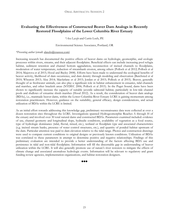# **Evaluating the Effectiveness of Constructed Beaver Dam Analogs in Recently Restored Floodplains of the Lower Columbia River Estuary**

*\*Ava Laszlo* and Curtis Loeb, PE

Environmental Science Associates, Portland, OR

### *\*Presenting author* (email: alaszlo@esassoc.com)

Increasing research has documented the positive effects of beaver dams on hydrologic, geomorphic, and ecologic processes within rivers, streams, and their adjacent floodplains. Beneficial effects can include increasing pool refugia habitat, sediment retention and channel bottom aggradation, reconnection of incised channels to floodplains, moderation of water temperature, reduction of streambank erosion, among others (Pollock et al 2012; Pollock et al 2014; Majerova et al 2015; Hood and Bayley 2008). Efforts have been made to understand the ecological benefits of beaver activity, likelihood of dam occurrence, and dam density through modeling and observation (Burchsted et al 2010; Wheaton 2013; Alza 2014; Macfarlane et al 2015; Jordan et al 2015; Pollock et al 2015). Beaver, generally thought of as freshwater animals, can also play a significant role in habitat enhancement in estuaries, tidal channels and marshes, and other brackish areas (NYDEC 2006; Pollock et al 2015). In the Puget Sound, dams have been shown to significantly increase the capacity of suitable juvenile salmonid habitat, particularly in low-tide channel pools and shallows of estuarine shrub marshes (Hood 2012). As a result, the consideration of beaver dam analogs (BDAs), i.e., manmade beaver dams, within the Lower Columbia River Estuary LCRE is gaining momentum among restoration practitioners. However, guidance on the suitability, general efficacy, design considerations, and actual utilization of BDAs within the LCRE is limited.

As an initial effort towards addressing this knowledge gap, preliminary reconnaissance data were collected at over a dozen restoration sites throughout the LCRE. Investigations spanned Hydrogeomorphic Reaches A through H of the estuary and involved over 30 total natural dams and constructed BDAs. Parameters examined included: evidence of use, channel geometry and longitudinal slope, hydraulic conditions, availability of vegetation as a food source, type of hydrologic dominance (tidal, fluvial, mixed, etc.), wetland or floodplain type and associated characteristics (e.g. incised stream banks, presence of water control structures, etc.), and quantity of ponded habitat upstream of the dam. Particular attention was paid to dam elevation relative to the tidal range. Photos and construction drawings were used to compare current conditions to original designs or previously known conditions. Utilization of BDAs was correlated to these parameters in attempt to determine positive and negative relationships. Findings of this preliminary evaluation are intended to provide a better understanding of the factors affecting BDA use and persistence in tidal and non-tidal floodplains. Information will fill the discernable gap in understanding of beaver utilization within the LCRE. It will also generally promote use of nature's river restorers to mitigate the effects of climate change and associated anomalous hydrologic events. Information will be relevant to regulatory and grant funding review agencies, implementation organizations, and habitat restoration designers.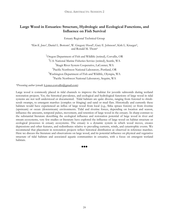# **Large Wood in Estuaries: Structure, Hydrologic and Ecological Functions, and Influence on Fish Survival**

Estuary Regional Technical Group

*\*Kim K. Jones1*, Daniel L. Bottom2, W. Gregory Hood3, Gary E. Johnson4, Kirk L. Krueger5, and Ronald M. Thom<sup>6</sup>

> <sup>1</sup>Oregon Department of Fish and Wildlife (retired), Corvallis, OR  $^{2}$ U.S. N.C. 11M U.S. National Marine Fisheries Service (retired), Seattle, WA Skagit River System Cooperative, LaConner, WA Pacific Northwest National Laboratory, Portland, OR Washington Department of Fish and Wildlife, Olympia, WA Pacific Northwest National Laboratory, Sequim, WA

*\*Presenting author* (email: k.jones.corvallis@gmail.com)

Large wood is commonly placed in tidal channels to improve the habitat for juvenile salmonids during wetland restoration projects. Yet, the historical prevalence, and ecological and hydrological functions of large wood in tidal systems are not well understood or documented. Tidal habitats are quite diverse, ranging from forested to shrubscrub swamps, to emergent marshes (complex or fringing) and sand or mud flats. Historically and currently these habitats would have experienced an influx of large wood from local (e.g., Sitka spruce forests) or from riverine (upstream) or ocean (downstream) environments. Tidal and riverine forces, depending on location and season, influence the amounts, temporal pulses, movement, and retention of large wood in the estuary. In sharp contrast to the substantial literature describing the ecological influence and restoration potential of large wood in river and stream ecosystems, very few studies or literature have explored the influence of large wood on habitat structure or ecological processes in estuary ecosystems. The estuary is a dynamic system in which wood moves, creates depressions and other features, and redistributes relative to prevailing currents, winds, and catastrophic events. We recommend that placement in restoration projects reflect historical distribution as observed in reference marshes. Here we discuss the literature and observations on large wood, and its potential influence on physical and vegetative structure of tidal habitats and associated aquatic communities in estuaries, with a focus on emergent wetland habitats.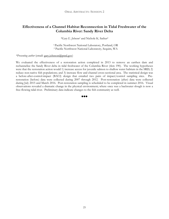# **Effectiveness of a Channel Habitat Reconnection in Tidal Freshwater of the Columbia River: Sandy River Delta**

*\*Gary E. Johnson1* and Nichole K. Sather2

1 Pacific Northwest National Laboratory, Portland, OR 2 Pacific Northwest National Laboratory, Sequim, WA

*\*Presenting author* (email: gary.johnson@pnnl.gov)

We evaluated the effectiveness of a restoration action completed in 2013 to remove an earthen dam and rechannelize the Sandy River delta in tidal freshwater of the Columbia River (rkm 190). The working hypotheses were that the restoration action would 1) increase access for juvenile salmon to shallow water habitats in the SRD; 2) reduce non-native fish populations; and 3) increase flow and channel cross-sectional area. The statistical design was a before-after-control-impact (BACI) design that entailed two pairs of impact/control sampling sites. Prerestoration (before) data were collected during 2007 through 2012. Post-restoration (after) data were collected during July 2015 and March 2016. Post-restoration sampling is scheduled to be completed in summer 2016. Visual observations revealed a dramatic change in the physical environment; where once was a backwater slough is now a free-flowing tidal river. Preliminary data indicate changes to the fish community as well.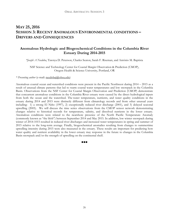# **MAY 25, 2016 SESSION 3: RECENT ANOMALOUS ENVIRONMENTAL CONDITIONS – DRIVERS AND CONSEQUENCES**

# **Anomalous Hydrologic and Biogeochemical Conditions in the Columbia River Estuary During 2014-2015**

*\*Joseph A Needoba*, Tawnya D. Peterson, Charles Seaton, Sarah F. Riseman, and António M. Baptista

NSF Science and Technology Center for Coastal Margin Observation & Prediction (CMOP), Oregon Health & Science University, Portland, OR

### *\* Presenting author* (e-mail: needobaj@ohsu.edu)

Anomalous coastal ocean and watershed conditions were present in the Pacific Northwest during 2014 – 2015 as a result of unusual climate patterns that led to warm coastal water temperatures and low snowpack in the Columbia Basin. Observations from the NSF Center for Coastal Margin Observation and Prediction (CMOP) demonstrate that concurrent anomalous conditions in the Columbia River estuary were caused by the direct hydrological inputs from both the ocean and the watershed. The water temperature, nutrients, and water quality conditions in the estuary during 2014 and 2015 were distinctly different from climatology records and from other unusual years including: 1) a strong El Niño (1997), 2) exceptionally reduced river discharge (2001), and 3) delayed seasonal upwelling (2005). We will discuss the time series observations from the CMOP sensor network demonstrating changes relative to historical records for temperature, salinity, and dissolved nutrients in the lower estuary. Anomalous conditions were related to the nearshore presence of the North Pacific Temperature Anomaly (commonly known as "the blob") between September 2014 and May 2015. In addition, low winter snowpack during winter of 2014-1015 resulted in reduced river discharges and increased water temperatures in spring and summer of 2015 relative to the long-term average. Finally, biogeochemical anomalies resulting from changes to summertime upwelling intensity during 2015 were also measured in the estuary. These results are important for predicting how water quality and nutrient availability in the lower estuary may response in the future to changes in the Columbia Basin snowpack and/or the strength of upwelling on the continental shelf.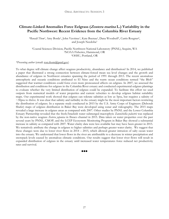# **Climate-Linked Anomalies Force Eelgrass (Zostera marina L.) Variability in the Pacific Northwest: Recent Evidence from the Columbia River Estuary**

*\*Ronald Thom1,* Amy Borde1, John Vavrinec1, Kate Buenau1, Dana Woodruff1, Curtis Roegner2, and Joseph Needoba3

*<sup>1</sup>*Coastal Sciences Division, Pacific Northwest National Laboratory (PNNL), Sequim, WA 2NOAA Fisheries, Hammond, OR *<sup>3</sup>*OHSU, Portland, OR

### *\*Presenting author* (email: ron.thom@pnnl.gov)

To what degree will climate change affect seagrass productivity, abundance and distribution? In 2014, we published a paper that illustrated a strong connection between climate-forced mean sea level changes and the growth and abundance of eelgrass in Northwest estuaries spanning the period of 1991 through 2013. The recent anomalous atmospheric and oceanic conditions attributed to El Nino and the warm ocean conditions termed "the Blob" suggested that warmer conditions could force even more pronounced affects on eelgrass. In 2007, we assessed the distribution and conditions for eelgrass in the Columbia River estuary and conducted experimental eelgrass plantings to evaluate whether the very limited distribution of eelgrass could be expanded. To facilitate this effort we used outputs from numerical models of water properties and current velocities to develop eelgrass habitat suitability maps. Our experimental work showed that eelgrass can tolerate salinities as low as 5psu, but requires a salinity of  $\sim$ 30psu to thrive. It was clear that salinity and turbidity in the estuary might be the most important factors restricting the distribution of eelgrass. In a separate study conducted in 2015 by the U.S. Army Corps of Engineers (Deborah Shafer) maps of eelgrass distribution in Baker Bay were developed using sonar and videography. The 2015 maps revealed a large increase in eelgrass areas as compared with 2007. Other studies by PNNL and the Lower Columbia Estuary Partnership revealed that the fresh/brackish water submerged macrophyte *Zannichellia palustris* was replaced by the non-native seagrass *Zostera japonica* in Ilwaco channel in 2015. Data taken on water properties over the past several years by PNNL, CMOP, and the LCEP Ecosystem Monitoring Program in Baker Bay showed a substantial increase in salinity as compared with 2007. Water clarity data were less available but may have been greater in 2015. We tentatively attribute the change in eelgrass to higher salinities and perhaps greater water clarity. We suggest that these changes were due to lower river flows in 2014 – 2015, which allowed greater intrusion of salty ocean water into the estuary. We understand that lower flows in the river are attributable to a decrease in winter precipitation and snowpack levels caused by anomalous climatic conditions. Our results suggest that lower river flows will result in expanded distribution of eelgrass in the estuary until increased water temperatures force reduced net productivity rates and survival.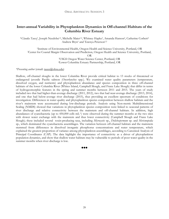# **Inter-annual Variability in Phytoplankton Dynamics in Off-channel Habitats of the Columbia River Estuary**

\**Claudia Tausz1*, Joseph Needoba1,2, Michelle Maier1,2, Whitney Hapke3, Amanda Hanson4, Catherine Corbett4 Andrew Bryn<sup>1</sup> and Tawnya Peterson<sup>1,2</sup>

1Institute of Environmental Health, Oregon Health and Science University, Portland, OR 2Center for Coastal Margin Observation and Prediction, Oregon Health and Science University, Portland, OR 3USGS Oregon Water Science Center, Portland, OR 4Lower Columbia Estuary Partnership, Portland, OR

### *\*Presenting author* (email: tausz@ohsu.edu)

Shallow, off-channel sloughs in the lower Columbia River provide critical habitat to 13 stocks of threatened or endangered juvenile Pacific salmon (*Oncorhynchus* spp.). We examined water quality parameters (temperature, dissolved oxygen, and nutrients) and phytoplankton abundance and species composition in three off-channel habitats of the lower Columbia River (Whites Island, Campbell Slough, and Franz Lake Slough) that differ in terms of hydrogeomorphic features in the spring and summer months between 2011 and 2015. The years of study included two that had higher-than-average discharge (2011, 2012), two that had near-average discharge (2013, 2014), and one that had below-average river discharge (2015), thus providing an excellent spectrum of conditions for investigation. Differences in water quality and phytoplankton species composition between shallow habitats and the river's mainstem were accentuated during low-discharge periods. Analysis using Non-metric Multidimensional Scaling (NMDS) showed that variations in phytoplankton species composition were linked to seasonal patterns of river discharge and relative connectivity between the mainstem and off-channel habitats. In addition, high abundances of cyanobacteria (up to 450,000 cells mL-1) were observed during the summer months at the two sites with slower water exchange with the mainstem and thus lower connectivity (Campbell Slough and Franz Lake Slough); these included several toxin-producing taxa, including *Microcystis* sp., *Dolichospermum* sp. and *Merismopedia*  sp., which dominated the cyanobacteria assemblages. The variation between off-channel habitats and the mainstem stemmed from differences in dissolved inorganic phosphorus concentrations and water temperature, which explained the greatest proportion of variance among phytoplankton assemblages, according to Canonical Analysis of Principal Coordinates (CAP). The data highlight the importance of connectivity as a driver of phytoplankton population dynamics, and show that shallow water habitats may be vulnerable to periods of poor water quality in the summer months when river discharge is low.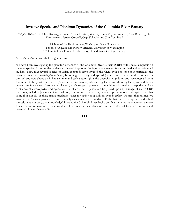# **Invasive Species and Plankton Dynamics of the Columbia River Estuary**

*\*Stephen Bollens<sup>1</sup>*, Gretchen Rollwagen-Bollens<sup>1</sup>, Eric Dexter<sup>1</sup>, Whitney Hassett<sup>1</sup>, Jesse Adams<sup>1</sup>, Alise Bowen<sup>1</sup>, Julie Zimmerman<sup>1</sup>, Jeffery Cordell<sup>2</sup>, Olga Kalata<sup>1,2</sup>, and Tim Counihan<sup>3</sup>

> 1 School of the Environment, Washington State University 2 School of Aquatic and Fishery Sciences, University of Washington 3 Columbia River Research Laboratory, United States Geologic Survey

### *\*Presenting author* (email: sbollens@wsu.edu)

We have been investigating the plankton dynamics of the Columbia River Estuary (CRE), with special emphasis on invasive species, for more than a decade. Several important findings have emerged from our field and experimental studies. First, that several species of Asian copepods have invaded the CRE, with one species in particular, the calanoid copepod *Pseudodiaptomus forbesi*, becoming extremely widespread (penetrating several hundred kilometers upriver) and very abundant in late summer and early autumn (it is the overwhelming dominant mesozooplankter at this time of the year). Second, *P. forbesi* feeds on diatoms, ciliates, flagellates, and dinoflagellates, and exhibits a general preference for diatoms and ciliates (which suggests potential competition with native copepods), and an avoidance of chlorophytes and cyanobacteria. Third, that *P. forbesi* can be preyed upon by a range of native CRE predators, including juvenile chinook salmon, three-spined stickleback, northern pikeminnow, and mysids, and that some (but not all) of these native predators select for native zooplankton over *P. forbesi*. Fourth, that an invasive Asian clam, *Corbicula fluminea*, is also extremely widespread and abundant. Fifth, that dreissenid (quagga and zebra) mussels have not yet (to our knowledge) invaded the Columbia River Basin, but that these mussels represent a major threat for future invasion. These results will be presented and discussed in the context of food web impacts and potential climate change effects.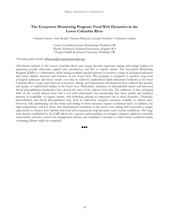# **The Ecosystem Monitoring Program: Food Web Dynamics in the Lower Columbia River**

\**Amanda Hanson*1, Amy Borde2, Tawnya Peterson3, Joseph Needoba3, Catherine Corbett1

1Lower Columbia Estuary Partnership, Portland, OR 2Pacific Northwest National Laboratory, Sequim, WA 3Oregon Health & Science University, Portland, OR

### \**Presenting author* (email: AHanson@estuarypartnership.org)

Off-channel habitats in the Lower Columbia River and estuary provide important rearing and refugia habitat for migrating juvenile salmonids, support prey production, and flux of organic matter. The Ecosystem Monitoring Program (EMP) is a collaborative effort among multiple regional partners to monitor a range of ecological indicators and assess habitat structure and function in the lower river. The program is designed to monitor long term ecological indicators and detect trends over time in relatively undisturbed tidally-influenced wetlands in the lower Columbia River. Large-scale land use conversion, diking, and hydrosystem development have reduced the quantity and quality of undisturbed habitat in the lower river. Particularly, reduction of macrodetrital inputs and increased fluvial phytoplankton production have altered the base of the salmon food web. The influence of this ecological shift on the overall salmon food web is not well understood. Our monitoring data show spatial and temporal patterns in availability of organic matter, with hydrology playing an important role in these dynamics. Ultimately, macrodetritus and fluvial phytoplankton may both be important energetic resources available to salmon prey. However, fully partitioning out the source and timing of these resources requires continued study. In addition, the high temperatures and low flows that characterized conditions in the lower river during 2015 provided a unique opportunity to observe how habitats and food web components respond under such extreme conditions. The longterm dataset established by the EMP allows for a greater understanding of ecological variation, addresses scientific uncertainties, provides context for management actions, and establishes a baseline to which future conditions under a changing climate might be compared.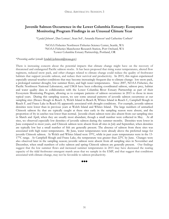### **Juvenile Salmon Occurrence in the Lower Columbia Estuary: Ecosystem Monitoring Program Findings in an Unusual Climate Year**

\**Lyndal Johnson*1, Dan Lomax1, Sean Sol1, Amanda Hanson3 and Catherine Corbett3

1NOAA Fisheries Northwest Fisheries Science Center, Seattle, WA 2NOAA Fisheries Manchester Research Station, Port Orchard, WA 3Lower Columbia Estuary Partnership, Portland, OR

### \**Presenting author* (email: lyndal.l.johnson@noaa.gov)

There is increasing concern about the potential impacts that climate change might have on the recovery of threatened and endangered Pacific salmon stocks. It has been proposed that rising water temperatures, altered flow regimens, reduced snow pack, and other changes related to climate change could reduce the quality of freshwater habitats that support juvenile salmon, and reduce their survival and productivity. In 2015, this region experienced especially unusual weather conditions that may become increasingly frequent due to climate change: low snow pack, a prolonged summer drought, low summer flows, and high water temperatures. Since 2007, NOAA Fisheries, the Pacific Northwest National Laboratory, and USGS have been collecting coordinated salmon, salmon prey, habitat and water quality data in collaboration with the Lower Columbia River Estuary Partnership as part of their Ecosystem Monitoring Program, allowing us to compare patterns of salmon occurrence in 2015 to those in more typical years. During this sampling season, we saw some unusual patterns of juvenile salmon occurrence at our sampling sites (Ilwaco Slough in Reach A, Welch Island in Reach B, Whites Island in Reach C, Campbell Slough in Reach F, and Franz Lake in Reach H) apparently associated with drought conditions. For example, juvenile salmon densities were lower than in previous years at Welch Island and Whites Island. The large numbers of unmarked Chinook salmon fry that are typically caught at these sites early in the sampling season were absent, and the proportion of fry in catches was lower than normal. Juvenile chum salmon were also absent from our sampling sites in March and April, when they are usually most abundant, though a small number were collected in May. At all sites, we observed especially low densities of juvenile salmon during the summer months. Densities were lower in June compared to most years, and Chinook salmon were absent from all sites in July and September, when densities are typically low but a small number of fish are generally present. The absence of salmon from these sites was associated with high water temperatures. By June, water temperatures were already above the preferred range for juvenile Chinook salmon. At Welch and Whites Island were 19°C, while in past years temperatures were in the 13- 17°C range. At Campbell Slough and Franz Lake, the temperature was greater than 22°C by June. Changes were also observed later in the sampling season; juvenile salmon were absent from all sampling sites in November and December, when small numbers of coho salmon and spring Chinook salmon are generally present. Our findings suggest that the low summer flows and increased summer temperatures in 2015 may have decreased the rearing capacity of the tidal freshwater emergent marsh areas that we sample in the EMP, and that suggest that conditions associated with climate change, may not be favorable to salmon productivity.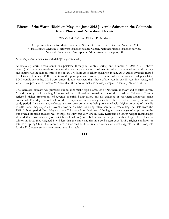# **Effects of the Warm 'Blob' on May and June 2015 Juvenile Salmon in the Columbia River Plume and Nearshore Ocean**

*\*Elizabeth A. Daly1* and Richard D. Brodeur2

1 Cooperative Marine for Marine Resources Studies, Oregon State University, Newport, OR 2 Fish Ecology Division, Northwest Fisheries Science Center, National Marine Fisheries Service, National Oceanic and Atmospheric Administration, Newport, OR

### \**Presenting author* (email:elizabeth.daly@oregonstate.edu)

Anomalously warm ocean conditions persisted throughout winter, spring, and summer of 2015 (+2°C above normal). Warm winter conditions occurred when the prey resources of juvenile salmon developed and in the spring and summer as the salmon entered the ocean. The biomass of ichthyoplankton in January-March is inversely related to October-December PDO conditions the prior year and positively to adult salmon returns several years later. PDO conditions in late 2014 were almost double (warmer) than those of any year in our 18 year time series, and would have predicted a biomass 95% less than the amount that was actually sampled in January-March of 2015.

The increased biomass was primarily due to abnormally high biomasses of Northern anchovy and rockfish larvae. May diets of juvenile yearling Chinook salmon collected in coastal waters of the Northern California Current reflected higher proportions of juvenile rockfish being eaten, but no evidence of Northern anchovies being consumed. The May Chinook salmon diet composition most closely resembled those of other warm years of our study period. June diets also reflected a warm prey community being consumed with higher amounts of juvenile rockfish, crab megalopae and juvenile Northern anchovies being eaten, somewhat resembling the diets from the 1998 El Niño period. Both May and June Chinook salmon had one of the highest percentages of empty stomachs but overall stomach fullness was average for May but very low in June. Residuals of length-weight relationships showed that most salmon (not just Chinook salmon) were below average weight for their length. For Chinook salmon in 2015, they weighed 17.6% less that the same size fish in a cold ocean year (2008). Higher condition or fatness of spring Chinook salmon relates to increased adult returns two years later which suggests that the prospects for the 2015 ocean-entry smolts are not that favorable.

88 A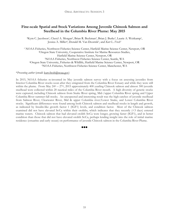# **Fine-scale Spatial and Stock Variations Among Juvenile Chinook Salmon and Steelhead in the Columbia River Plume: May 2015**

*\**Kym C. Jacobson1, Cheryl A. Morgan2, Brian R. Beckman3, Brian J. Burke3, Laurie A. Weitkamp1, Jessica A. Miller4, Donald M. Van Doornik5, and *Kurt L. Fresh3*

1 NOAA Fisheries, Northwest Fisheries Science Center, Hatfield Marine Science Center, Newport, OR 2Oregon State University, Cooperative Institute for Marine Resources Studies, Hatfield Marine Science Center, Newport, OR 3NOAA Fisheries, Northwest Fisheries Science Center, Seattle, WA 4Oregon State University, Fisheries & Wildlife, Hatfield Marine Science Center, Newport, OR 5NOAA Fisheries, Northwest Fisheries Science Center, Manchester, WA

### \**Presenting author* (email: kurt.fresh@noaa.gov)

In 2015, NOAA fisheries re-invented its May juvenile salmon survey with a focus on assessing juveniles from Interior Columbia River stocks soon after they emigrated from the Columbia River Estuary and while they were still within the plume. From May  $24<sup>th</sup> – 27<sup>th</sup>$ , 2015 approximately 400 yearling Chinook salmon and almost 300 juvenile steelhead were collected within 20 nautical miles of the Columbia River mouth. A high diversity of genetic stocks were captured; including Chinook salmon from Snake River spring, Mid-/upper Columbia River spring and Upper Columbia River summer-fall stocks. An unexpected and interesting result was the high catches of juvenile steelhead from Salmon River, Clearwater River, Mid & upper Columbia river/Lower Snake, and Lower Columbia River stocks. Significant differences were found among both Chinook salmon and steelhead stocks in length and growth, as indicated by Insulin-like growth factor 1 (IGF1) levels, and condition factor. Most of the Chinook salmon examined did not have elevated Sr:Ca within their otoliths, which indicates that they recently (<3 days) entered marine waters. Chinook salmon that had elevated otolith Sr:Ca were longer, growing faster (IGF1), and in better condition than those that did not have elevated otolith Sr:Ca, perhaps lending insight into the role of initial marine residence (estuarine and early ocean) on performance of juvenile Chinook salmon in the Columbia River Plume.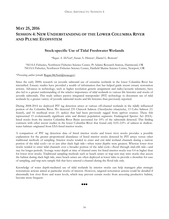# **MAY 25, 2016 SESSION 4: NEW UNDERSTANDING OF THE LOWER COLUMBIA RIVER AND PLUME ECOSYSTEM**

# **Stock-specific Use of Tidal Freshwater Wetlands**

*\*Regan A. McNatt1*, Susan A. Hinton1, Daniel L. Bottom2

1NOAA Fisheries, Northwest Fisheries Science Center, Pt Adams Research Station, Hammond, OR 2NOAA Fisheries, Northwest Fisheries Science Center, Hatfield Marine Science Center, Newport, OR

### \**Presenting author* (email: Regan.McNatt@noaa.gov)

Since the early 2000s research on juvenile salmonid use of estuarine wetlands in the lower Columbia River has intensified. Estuary studies have provided a wealth of information that has helped guide recent estuary restoration actions. Advances in technology, such as higher resolution genetic assignment and radio/acoustic telemetry, have also led to a greater understanding of the relative importance of tidal wetlands to various life histories and stocks of juvenile salmonids. This study utilizes passive integrated transponder (PIT) technology to document use of tidal wetlands by a greater variety of juvenile salmonid stocks and life histories than previously reported.

During 2008-2014 we deployed PIT tag detection arrays at various off-channel wetlands in the tidally influenced portion of the Columbia River. We detected 235 Chinook Salmon (*Oncorhynchus tshawytscha*), 13 Coho Salmon (*O. kisutch*), and 16 steelhead trout (*O. mykiss*) that had been previously tagged from upriver sources. These fish represented 15 evolutionarily significant units and distinct population segments. Endangered Species Act (ESA) listed stocks from the interior Columbia River Basin accounted for 10% of the salmonids detected. This finding contrasts with other recent studies in the lower Columbia River that found only 0.03–2.0% of salmon in shallowwater habitats originated from ESA-listed interior stocks.

A comparison of PIT tag detection data of listed interior stocks and lower river stocks provides a possible explanation for the greater proportional abundance of listed interior stocks detected by PIT arrays versus other traditional methods of sampling. Interior stocks tended to enter and exit tidal wetland channels during a narrow portion of the tidal cycle—at or just after slack high tide—when water depths were greatest. Whereas lower river stocks tended to enter tidal channels over a broader portion of the tidal cycle—flood through mid-ebb tide—and stay for longer periods. Average water depth at time of channel entry for listed interior stocks was 0.4 m higher than for lower river stocks. Traditional sampling methods such as beach seines or trap nets may miss stocks that access the habitat during slack high tide, since beach seines are often deployed at lower tides to provide a shoreline for ease of sampling, and trap nets sample fish that have entered a channel during the flood tide only.

Knowledge of water depth-mediated use of tidal wetlands by interior stocks can help managers plan strategic restorations actions aimed at particular stocks of interest. However, targeted restoration actions could be derailed if abnormally low river flows and water levels, which may prevent certain stocks from accessing productive habitat, become more frequent.

88 Q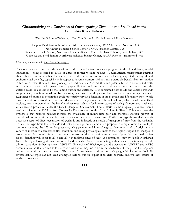# **Characterizing the Condition of Outmigrating Chinook and Steelhead in the Columbia River Estuary**

*\*Kurt Fresh2,* Laurie Weitkamp1, Don Van Doornik3, Curtis Roegner4, Kym Jacobson1

Newport Field Station, Northwest Fisheries Science Center, NOAA Fisheries, Newport, OR Northwest Fisheries Science Center, NOAA Fisheries, Seattle, WA Manchester Field Station, Northwest Fisheries Science Center, NOAA Fisheries, Port Orchard, WA 4Point Adams Field Station, Northwest Fisheries Science Center, NOAA Fisheries, Hammond, WA

### \**Presenting author* (email: kurt.fresh@noaa.gov)

The Columbia River estuary is the site of one of the largest habitat restoration programs in the United States, as tidal inundation is being restored to 1000s of acres of former wetland habitat. A fundamental management question about this effort is whether the estuary wetland restoration actions are achieving expected biological and environmental benefits, especially with respect to juvenile salmon. Salmon can potentially benefit from restoration in two ways. First, they can directly occupy wetland habitats. Second, they can potentially derive benefits indirectly as a result of transport of organic material (especially insects) from the wetland in that prey transported from the wetland could be consumed by the salmon outside the wetlands. Prey consumed both inside and outside wetlands are potentially beneficial to salmon by increasing their growth as they move downstream before entering the ocean. Responses of salmon to restoration could potentially vary as a function of stock group and life history type. While direct benefits of restoration have been demonstrated for juvenile fall Chinook salmon, which reside in wetland habitats, less is known about the benefits of restored habitats for interior stocks of spring Chinook and steelhead, which receive protection under the U.S. Endangered Species Act. These interior salmon typically take less than a week to migrate the 235 km from Bonneville Dam to the mouth of the Columbia River. This study tests the hypothesis that restored habitats increase the availability of invertebrate prey and therefore increase growth of juvenile salmon of all stocks and life history types as they move downstream. Further, we hypothesize that benefits occur as a result of direct occupation of wetlands and indirectly as a result of transport of prey from the wetlands. To test the hypothesis that wetlands indirectly benefit juvenile salmon, we propose to sample salmon at multiple locations spanning the 235 km-long estuary, using genetics and internal tags to determine stock of origin, and a variety of metrics to characterize fish condition, including physiological metrics that rapidly respond to changes in growth rate. As part of this work we are also measuring the production and export of prey from restored habitat types. Sampling will occur in 2016 and 2017 at multiple times of year. A companion study by Pacific Northwest Labs (PNNL) is looking at direct use of wetland habitats. We are coordinating with studies characterizing juvenile salmon condition farther upstream (NWFSC, University of Washington) and downstream (NWFSC and AFSC ocean studies) so that we can follow a cohort of fish as they move from the headwaters, through the hydrosystem and estuary, and out into the ocean. This type of coordinated study across such geographically and ecologically diverse habitat types has not been attempted before, but we expect it to yield powerful insights into effects of wetland restoration.

88 Q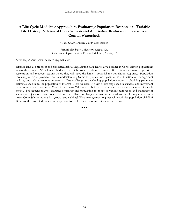# **A Life Cycle Modeling Approach to Evaluating Population Response to Variable Life History Patterns of Coho Salmon and Alternative Restoration Scenarios in Coastal Watersheds**

*\*Gabe Scheer1*, Darren Ward1, Seth Ricker2

1Humboldt State University, Arcata, CA 2California Department of Fish and Wildlife, Arcata, CA

### *\*Presenting Author* (email: scheer73@gmail.com)

Historic land use practices and associated habitat degradation have led to large declines in Coho Salmon populations across their range. With limited budgets, and high costs of Salmon recovery efforts, it is important to prioritize restoration and recovery actions where they will have the highest potential for population response. Population modeling offers a powerful tool in understanding Salmonid population dynamics as a function of management actions, and habitat restoration efforts. One challenge in developing population models is obtaining parameter estimates specific to the population of interest. Here we used 14 years of life stage specific survival and movement data collected on Freshwater Creek in northern California to build and parameterize a stage structured life cycle model. Subsequent analysis evaluates sensitivity and population response to various restoration and management scenarios. Questions this model addresses are: How do changes in juvenile survival and life history composition affect Coho Salmon population growth and stability? What management regimes will maximize population viability? What are the projected population responses for Coho under various restoration scenarios?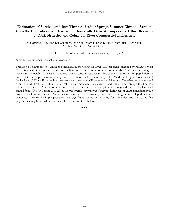# **Estimation of Survival and Run Timing of Adult Spring/Summer Chinook Salmon from the Columbia River Estuary to Bonneville Dam: A Cooperative Effort Between NOAA Fisheries and Columbia River Commercial Fishermen**

\**A. Michelle Wargo Rub*, Ben Sandford, Don Van Doornik, Brian Burke, Kinsey Frick, Mark Sorel, Matthew Nesbit, and Samuel Rambo

NOAA Fisheries Northwest Fisheries Science Center, Seattle, WA

### *\*Presenting author* (email: michelle.rub@noaa.gov)

Predation by pinnipeds on salmon and steelhead in the Columbia River (CR) has been identified by NOAA's West Coast Regional Office as a severe threat to salmon recovery. Adult salmon returning to the CR during the spring are particularly vulnerable to predation because their presence most overlaps that of the transient sea lion population. In an effort to assess predation on spring/summer Chinook salmon returning to the Middle and Upper Columbia and Snake Rivers, NOAA Fisheries has been working closely with CR commercial fishermen. Together we have marked over 1500 adult salmon within the CR estuary and measured their survival and transit time through the first 145 miles of freshwater. After accounting for harvest and impacts from sampling gear, weighted mean annual survival ranged from 59%-90% from 2010-2015. Lower overall survival was observed during recent years coincident with a growing sea lion population. Within season survival has consistently been lower during periods of peak sea lion presence. Our results imply predation is a significant source of mortality for these fish and that some fish populations may be at higher risk than others based on their behavior.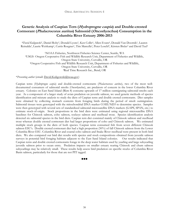# **Genetic Analysis of Caspian Tern (Hydroprogne caspia) and Double-crested Cormorant (Phalacrocorax auritus) Salmonid (Oncorhynchus) Consumption in the Columbia River Estuary 2006-2013**

*\*David Kuligowski1*, Daniel Roby2, Donald Lyons3, Ken Collis4, Allen Evans4, Donald Van Doornik1, Lauren Reinalda<sup>3</sup>, Laurie Weitkamp<sup>1</sup>, Curtis Roegner<sup>1</sup>, Tim Marcella<sup>3</sup>, Peter Loschl<sup>3</sup>, Kirsten Bixler<sup>3</sup> and David Teel<sup>1</sup>

1NOAA Fisheries, Northwest Fisheries Science Center, Seattle, WA 2USGS- Oregon Cooperative Fish and Wildlife Research Unit, Department of Fisheries and Wildlife, Oregon State University, Corvallis, OR 3Oregon Cooperative Fish and Wildlife Research Unit, Department of Fisheries and Wildlife, Oregon State University, Corvallis, OR 4Real Time Research Inc., Bend, OR

\**Presenting author* (email: David.Kuligowski@noaa.gov)

Caspian terns (*Hydroprogne caspia*) and double-crested cormorants (*Phalacrocorax auritus*), two of the most welldocumented consumers of salmonid smolts (*Oncorhynchus*), are predators of concern in the lower Columbia River estuary. Colonies on East Sand Island (Rkm 8) consume upwards of 17 million outmigrating salmonid smolts each year. As a component of a larger study of avian predation on juvenile salmon, we used genetic methods of species identification and mixture analysis to study the diets of Caspian terns and double crested cormorants. Diet samples were obtained by collecting stomach contents from foraging birds during the period of smolt outmigration. Salmonid tissues were genotyped with the mitochondrial DNA marker COIII/ND3 to determine species. Samples were then genotyped with several sets of standardized salmonid microsatellite DNA markers (GAPS, SPAN, etc.) to estimate stock-of-origin. Stock proportions in the bird diets were estimated using regional microsatellite DNA baselines for Chinook salmon, coho salmon, sockeye salmon and steelhead trout. Species identification analysis detected six salmonid species in the bird diets. Caspian tern diet consisted mainly of Chinook salmon and steelhead trout whereas double crested cormorant diet had larger proportions of coho and Chinook salmon. We estimated multiple stock groups in the diets of both species. Caspian terns consumed fish from seven different Chinook salmon ESU's. Double crested cormorant diet had a high proportion (50%) of fall Chinook salmon from the Lower Columbia River ESU. Columbia River and coastal coho salmon and Snake River steelhead were present in both bird diets. We also compared our bird diet results with species and stock compositions obtained from juvenile salmon surveys in potential bird foraging habitats adjacent to the East Sand Island colonies. Our results indicated that Caspian terns and double crested cormorants forage in the deep water habitats used by yearling and large subyearling juvenile salmon prior to ocean entry. Predation impacts on smaller estuary rearing Chinook and chum salmon subyearlings may be relatively small. These results help assess bird predation on specific stocks of Columbia River Basin salmon, particularly for those that are not PIT tagged.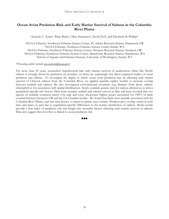# **Ocean Avian Predation Risk and Early Marine Survival of Salmon in the Columbia River Plume**

\**Jeannette E. Zamon1,* Brian Burke2, Mary Hunsicker3, David Teel4, and Elizabeth M. Phillips5

1NOAA Fisheries, Northwest Fisheries Science Center, Pt. Adams Research Station, Hammond, OR 2NOAA Fisheries, Northwest Fisheries Science Center, Seattle, WA 3NOAA Fisheries, Northwest Fisheries Science Center, Newport Research Station, Newport, OR 4NOAA Fisheries, Northwest Fisheries Science Center, Manchester Research Station, Manchester, WA 5School of Aquatic and Fisheries Sciences, University of Washington, Seattle, WA

### \**Presenting author* (email: jen.zamon@noaa.gov)

For more than 20 years, researchers hypothesized that early marine survival of anadromous fishes like Pacific salmon is strongly driven by predation on juveniles, yet there are surprisingly few direct empirical studies of ocean predators and salmon. To investigate the degree to which ocean avian predation may be affecting early marine survival of Chinook salmon from the Columbia River, we applied spatially-explicit models to measure overlap between seabirds and salmon. We also investigated environmental covariates (e.g. distance from shore, salinity, chlorophyll-*a*) for association with spatial distributions. Newly available genetic data for salmon allowed us to derive population-specific risk factors. Data from synoptic seabird and salmon surveys in May and June revealed that two species of seabirds (common murre *Uria aalge* and sooty shearwater *Puffinus griseus*) accounted for ≥80% of birds counted between Newport, OR and the US-Canadian border. We found that birds were spatially associated with the Columbia River Plume, and that bird density is related to plume area/volume. Predator-prey overlap varied in both time and space, in part due to population-specific differences in the marine distribution of salmon. Model results provide a new index of predation risk and insight into mortality factors affecting early marine survival of salmon. Data also suggest that river flow is linked to ocean predation risk.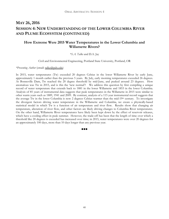# **MAY 26, 2016 SESSION 4: NEW UNDERSTANDING OF THE LOWER COLUMBIA RIVER AND PLUME ECOSYSTEM (CONTINUED)**

# **How Extreme Were 2015 Water Temperatures in the Lower Columbia and Willamette Rivers?**

### *\*S.A. Talke* and D.A. Jay

Civil and Environmental Engineering, Portland State University, Portland, OR

### *\*Presenting Author* (email: talke@pdx.edu)

In 2015, water temperatures (Tw) exceeded 20 degrees Celsius in the lower Willamette River by early June, approximately 1 month earlier than the previous 5 years. By July, early morning temperatures exceeded 26 degrees. At Bonneville Dam, Tw reached the 20 degree threshold by mid-June, and peaked around 23 degrees. How anomalous was Tw in 2015, and is this the 'new normal'? We address this question by first compiling a unique record of water temperature that extends back to 1881 in the lower Willamette and 1853 in the lower Columbia. Analysis of 85 years of instrumental data suggests that peak temperatures in the Willamette in 2015 were similar to other warm years such as 1889, 1941 and 2009. By contrast, analysis of a 115 year instrumental record suggests that the average Tw in the lower Columbia is now 2 degrees Celsius warmer than the mid-19th century. To investigate the divergent factors driving water temperature in the Willamette and Columbia, we create a physically-based statistical model in which Tw is a function of air temperature and river flow. Results show that changing air temperature, alteration of river flow, and other factors are likely driving changes to Columbia River temperatures. On the other hand, Willamette River temperatures have likely been kept down by the effect of reservoir releases, which have a cooling effect in peak summer. However, the trade-off has been that the length of time over which a threshold like 20 degrees is exceeded has increased over time; in 2015, water temperatures were over 20 degrees for an approximately 100 days, more than 10 days longer than any previous year.

#### 888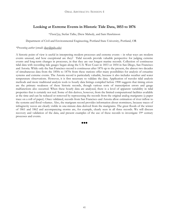# **Looking at Extreme Events in Historic Tide Data, 1853 to 1876**

\**David Jay*, Stefan Talke, Drew Mahedy, and Sam Hawkinson

Department of Civil and Environmental Engineering, Portland State University, Portland, OR

### *\*Presenting author* (email: djay@pdx.edu)

A historic point of view is useful in interpreting modern processes and extreme events – in what ways are modern events unusual, and how exceptional are they? Tidal records provide valuable perspective for judging extreme events and long-term changes in processes, in that they are our longest marine records. Collection of continuous tidal data with recording tide gauges began along the U.S. West Coast in 1853 or 1854 in San Diego, San Francisco and Astoria. While only the San Francisco record is continuous after 1876 up to the present, the almost two decades of simultaneous data from the 1850s to 1870s from these stations offer many possibilities for analysis of estuarine systems and extreme events. The Astoria record is particularly valuable, because it also includes weather and water temperature observations. However, it is first necessary to validate the data. Application of wavelet tidal analysis methods and more traditional analysis tools to hourly data listings compiled before 1900 suggests that timing errors are the primary weakness of these historic records, though various sorts of transcription errors and gauge malfunctions also occurred. When these hourly data are analyzed, there is a level of apparent variability in tidal properties that is certainly not real. Some of this derives, however, from the limited computational facilities available at the time and can be reduced or removed by reprocessing the records from the original analog marigrams (a paper trace on a roll of paper). Once validated, records from San Francisco and Astoria allow estimation of river inflow to the systems and flood volumes. Also, the marigram record provides information about storminess, because traces of infragravity waves are clearly visible in one-minute data derived from the marigrams. The great floods of the winter of 1861 and 1862 and accompanying storms are, for example, clearly seen in all three records. We will discuss recovery and validation of the data, and present examples of the use of these records to investigate 19th century processes and events.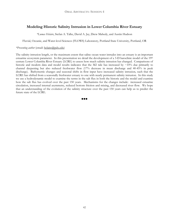# **Modeling Historic Salinity Intrusion in Lower Columbia River Estuary**

*\*Lumas Helaire*, Stefan A. Talke, David A. Jay, Drew Mahedy, and Austin Hudson

Fluvial, Oceanic, and Water-level Sciences (FLOWS) Laboratory, Portland State University, Portland, OR

### *\*Presenting author* (email: helaire@pdx.edu)

The salinity intrusion length, or the maximum extent that saline ocean water intrudes into an estuary is an important estuarine ecosystem parameter. In this presentation we detail the development of a 3-D baroclinic model of the 19th century Lower Columbia River Estuary (LCRE) to assess how much salinity intrusion has changed. Comparisons of historic and modern data and model results indicates that the M2 tide has increased by  $\sim 10\%$  due primarily to channel deepening but also reduced freshwater flow (17% decrease in mean discharge and 40-45% in peak discharge). Bathymetric changes and seasonal shifts in flow input have increased salinity intrusion, such that the LCRE has shifted from a seasonally freshwater estuary to one with nearly permanent salinity intrusion. In this study we use a hydrodynamic model to examine the terms in the salt flux in both the historic and the model and examine how the salt flux has evolved over the past 150 years. Mechanisms for the changes include: increased estuarine circulation, increased internal asymmetry, reduced bottom friction and mixing, and decreased river flow. We hope that an understanding of the evolution of the salinity structure over the past 150 years can help us to predict the future state of the LCRE.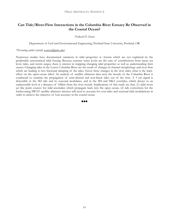# **Can Tide/River-Flow Interactions in the Columbia River Estuary Be Observed in the Coastal Ocean?**

*\*Edward D. Zaron* 

Department of Civil and Environmental Engineering, Portland State University, Portland, OR

### *\*Presenting author* (email: ezaron@pdx.edu)

Numerous studies have documented variations in tidal properties at Astoria which are not explained by the predictable astronomical tidal forcing. Because extreme water levels are the sum of contributions from mean sea level, tides, and storm surges, there is interest in mapping changing tidal properties as well as understanding their causes. Changing tides in the Lower Columbia River are the result of changes in channel morphology and river flow which are leading to less frictional damping of the tides. Given these changes in the river tides, what is the backeffect on the open-ocean tides? An analysis of satellite altimeter data near the mouth of the Columbia River is conducted to examine the propagation of semi-diurnal and non-linear tides out of the river. A 3 cm signal is detectable in the M2 tide and its seasonal modulates, and in the M4 and MK3 overtides, which decays to an undetectable level at a distance of 140km from the river mouth. Implications of this study are that, (1) tidal rivers act like point sources for tidal anomalies which propagate back into the open ocean, (2) tide corrections for the forthcoming SWOT satellite altimeter mission will need to account for over-tides and seasonal tidal modulations in order to achieve the objective of 1cm accuracy in the coastal ocean.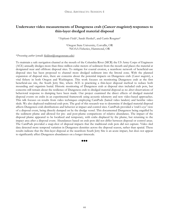# **Underwater video measurements of Dungeness crab (Cancer magister) responses to thin-layer dredged material disposal**

\**Stephanie Fields1*, Sarah Henkel1, and Curtis Roegner2

1Oregon State University, Corvallis, OR 2NOAA Fisheries, Hammond, OR

\**Presenting author* (email: fieldsst@oregonstate.edu)

To maintain a safe navigation channel at the mouth of the Columbia River (MCR) the US Army Corps of Engineers (ACE) annually dredges more than three million cubic meters of sediment from the mouth and places the material at designated near and offshore disposal sites. To mitigate for coastal erosion, a nearshore network of beneficial-use disposal sites has been proposed to channel more dredged sediment into the littoral zone. With the planned expansion of disposal sites, there are concerns about the potential impacts on Dungeness crab (*Cancer magister*), a vital fishery in both Oregon and Washington. This work focuses on monitoring Dungeness crab at the first beneficial-use site, the South Jetty Site, where ACE is practicing a thin-layer disposal method to reduce both mounding and organism burial. Historic monitoring of Dungeness crab at disposal sites included crab pots, but concerns still remain about the resilience of Dungeness crab to dredged material disposal as no *direct* observations of behavioral response to dumping have been made. Our project examined the direct effects of dredged material disposal events on crabs in an experimental framework using acoustic telemetry and new video-based approaches. This talk focuses on results from video techniques employing CamPods (baited video landers) and benthic video sleds. We also deployed traditional crab pots. The goal of this research was to determine if dredged material disposal affects Dungeness crab distributions and behavior at impact and control sites. CamPods provided a 'crab's-eye' view of a disposal event, being directly dumped on by the dredge vessel. This documented Dungeness being engulfed by the sediment plume and allowed for pre- and post-plume comparisons of relative abundance. The impact of the disposal plume appeared to be localized and temporary, with crabs displaced by the plume, but returning to the impact area after a disposal event. Abundances based on crab pots did not differ between disposal or control areas. The CamPods provided a snap-shot of disposal impacts that the traditional crab pots did not capture. Video sled data detected more temporal variation in Dungeness densities across the disposal season, rather than spatial. These results indicate that the thin-layer disposal at the nearshore South Jetty Site is an acute impact, but does not appear to significantly affect Dungeness abundances on a longer timescale.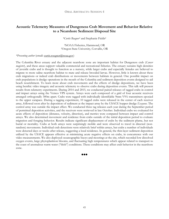# **Acoustic Telemetry Measures of Dungeness Crab Movement and Behavior Relative to a Nearshore Sediment Disposal Site**

*\*Curtis Roegner1* and Stephanie Fields2

1NOAA Fisheries, Hammond, OR 2Oregon State University, Corvallis, OR

*\*Presenting author* (email: curtis.roegner@noaa.gov)

The Columbia River estuary and the adjacent nearshore zone are important habitat for Dungeness crab (*Cancer magister*), and these areas support valuable commercial and recreational fisheries. The estuary sustains high densities of juvenile crabs and is thought to function as a nursery, while larger crabs and especially females are believed to migrate to more saline nearshore habitat to mate and release brooded larvae. However, little is known about these crab migrations or indeed crab distributions or movements between habitats in general. One possible impact on crab populations is dredge operations in the mouth of the Columbia and sediment deposition events designed to aid beach nourishment. To learn more about crab movements and the effects of dredge depositions, we have been using benthic video imagery and acoustic telemetry to observe crabs during deposition events. This talk will present results from telemetry experiments. During 2014 and 2015, we conducted paired releases of tagged crabs in control and impact arrays using the Vemco VPS system. Arrays were each composed of a grid of four acoustic receivers arranged orthogonally 300m apart. Crabs were tagged with individually identifiable 9mm V9A transmitters epoxied to the upper carapace. During a tagging experiment, 10 tagged crabs were released in the center of each receiver array, followed soon after by deposition of sediment at the impact array by the USACE hopper dredge *Essayons*. The control array was outside the impact effect. We conducted three tag releases each year during the September period of permitted deposition activities, and the receivers were retrieved in late October. Individual crabs we evaluated for acute effects of deposition (distance, velocity, direction), and metrics were compared between impact and control arrays. We also determined movement and residence from crabs outside of the initial deposition period to evaluate migration and foraging behavior. Results indicate significant displacement of crabs by the sediment plume, but not burial or mortality. Crabs at both arrays were surprisingly mobile and were observed to travel in directed (nonrandom) movements. Individual crab detections were relatively brief within arrays, but crabs a number of individuals were detected days or weeks after release, suggesting a local residence. In general, the thin-layer sediment deposition utilized by the USACE appears effective at minimizing acute negative effects on crabs, in concurrence with our video measurements. We also deployed oceanographic buoys and moorings at the site, which recorded low dissolved oxygen events, large phytoplankton blooms, and fluctuating high temperatures which appear related to transport to the coast of anomalous warm water ("blob") conditions. These conditions may affect crab behavior in the nearshore zone.

88 Q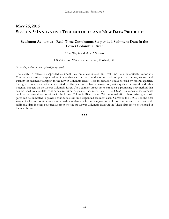# **MAY 26, 2016 SESSION 5: INNOVATIVE TECHNOLOGIES AND NEW DATA PRODUCTS**

# **Sediment Acoustics - Real-Time Continuous Suspended Sediment Data in the Lower Columbia River**

*\*Paul Diaz Jr* and Marc A Stewart

USGS Oregon Water Science Center, Portland, OR

### *\*Presenting author* (email: pdiaz@usgs.gov)

The ability to calculate suspended sediment flux on a continuous and real-time basis is critically important. Continuous real-time suspended sediment data can be used to determine and compute the timing, source, and quantity of sediment transport in the Lower Columbia River. This information could be used by federal agencies, local governments, and others, interested in effects sediment has on navigation, water quality, biological, and other potential impacts on the Lower Columbia River. The Sediment Acoustics technique is a promising new method that can be used to calculate continuous real-time suspended sediment data. The USGS has acoustic instruments deployed at several key locations in the Lower Columbia River basin. With minimal effort these existing acoustic gages can be calibrated to provide continuous real-time suspended sediment data. Currently the USGS is in the final stages of releasing continuous real-time sediment data at a key stream gage in the Lower Columbia River basin while additional data is being collected at other sites in the Lower Columbia River Basin. These data are to be released in the near future.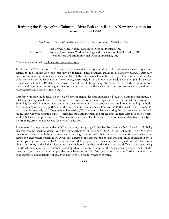# **Refining the Edges of the Columbia River Eulachon Run – A New Application for Environmental DNA**

*\*Joe Krieter1*, Taal Levi2, Maria Sandercock1, Andy Clodfelter1, Michelle Hollis3

1Hart Crowser Inc., Natural Resources Division, Portland, OR 2Oregon State University, Quantitative Wildlife Ecology and Conservation Lab, Corvallis, OR 3Port of Portland, Environmental Division, Portland, OR

*\*Presenting author* (email: joe.krieter@hartcrowser.com)

In November 2015 the Port of Portland (Port) initiated a three year study to help address management questions related to the conservation and recovery of federally listed southern eulachon (*Thaleichthys pacificus)*. Although eulachon monitoring has occurred since the late 1990s in the lower Columbia River (LCR) mainstem and in select tributaries such as the Cowlitz and Lewis rivers, surprisingly little is known about adult run timing and mainstem habitat use within the Portland/Vancouver reach. One of the primary objectives of our study is to refine our understanding of adult run timing, relative to federal and state guidelines for the timing of in-water work, within the most industrialized reach of the LCR.

Our first year pilot study relies on the use of environmental deoxyribonucleic acid (eDNA) sampling techniques, a relatively new approach used to determine the presence of a target organism within an aquatic environment. Sampling for eDNA is non-invasive and has been reported as more sensitive than traditional sampling methods such as seining or trawling, particularly when target animal abundance is low. On the Port's behalf, Hart Crowser is working collaboratively with Oregon State University (OSU) research scientists during the performance of this field study. Hart Crowser aquatic ecologists designed the sampling plan and are leading the field data collection efforts while OSU scientists perform the eDNA laboratory analyses. The Cowlitz Tribe also provides data from their fyke net trapping efforts which we use for method validation.

Preliminary findings indicate that eDNA sampling, using digital droplet Polymerase Chain Reaction (ddPCR) analyses can be used to detect very low concentrations of eulachon DNA in the Columbia River. We have consistently detected eulachon in areas where trapping has confirmed their presence. By extension, we believe our results for areas where eulachon DNA was not detected indicates that the species was not locally abundant in these areas. Spatially distributed eDNA transects sampled throughout the spawning run can yield critical information about the timing and relative distribution of eulachon in reaches of the river that are difficult to sample using traditional techniques, but are nonetheless important from an in-water work management perspective. Over the next two years we hope to apply the knowledge from this first year pilot study to further broaden our spatiotemporal understanding of eulachon uses in the Portland/Vancouver reach.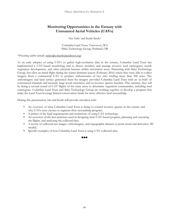# **Monitoring Opportunities in the Estuary with Unmanned Aerial Vehicles (UAVs)**

*\*Ian Sinks1* and Keith Steele2

1Columbia Land Trust, Vancouver, WA 2Sitka Technology Group, Portland, OR

### *\*Presenting author* (email: isinks@columbialandtrust.org)

As an early adopter of using UAVs to gather high-resolution data in the estuary, Columbia Land Trust has implemented a UAV-based monitoring trial to detect, monitor, and manage invasive reed canarygrass, marsh vegetation development, and other physical features within restoration areas. Partnering with Sitka Technology Group, they flew an initial flight during the winter dormant season (February 2016) where they were able to collect imagery from a commercial UAV to produce orthomosaics of two sites totaling more than 300 acres. The orthoimagery and land surface generated from the imagery provided Columbia Land Trust with an 'as-built' of constructed channels and mounds, large wood structures, and an invasive species baseline. This summer, they will be doing a second round of UAV flights of the same areas to determine vegetation communities, including reed canarygrass. Columbia Land Trust and Sitka Technology Group are working together to develop a program that helps the Land Trust leverage limited conservation funds for more effective land stewardship.

During this presentation, Ian and Keith will provide attendees with:

- An overview of what Columbia Land Trust is doing to control invasive species in the estuary and why UAVs were chosen to augment their stewardship program.
- A primer of the legal requirements and restrictions of using UAV technology.
- An overview of the best practices used in designing their UAV-based program, planning and executing the flights, and analyzing the collected data.
- A review of collected raw images, orthoimagery, and topographic datasets (a point cloud and derivative 3D model).
- Specific examples of how Columbia Land Trust is using UAV-collected data.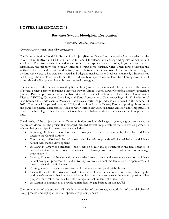# **POSTER PRESENTATIONS**

# **Batwater Station Floodplain Restoration**

*\*Janice Bell, P.E*. and Jenni Dykstra

*\*Presenting author* (email: janice@watways.com )

The Batwater Station Floodplain Restoration Project (Batwater Station) reconnected a 26-acre wetland to the lower Columbia River and its tidal influence to benefit threatened and endangered species of salmon and steelhead. The project also benefited several other native species such as turtles, frogs, deer and beaver. Historically, the property was a tidally influenced shrub-scrub wetland. Cries Creek flowed through the wetland to the river and fish and wildlife freely moved between the site and river. Over time, the site changed: the land was cleared, dikes were constructed and tidegates installed, Cries Creek was realigned, a driveway was laid through the middle of the site, and the rich diversity of species was replaced by a homogenized mix of some ash and willow predominated by invasive reed canarygrass.

The restoration of this site was initiated by Karin Hunt (private landowner) and relied upon the collaboration of several project partners, including Bonneville Power Administration, Lower Columbia Estuary Partnership (Estuary Parnership), Lower Columbia River Watershed Council, Columbia Soil and Water Conservation District (CSWCD), Waterways Consulting and Kynsi Construction. The project began in 2011 with initial talks between the landowner, CSWCD and the Estuary Partnership, and was constructed in the summer of 2015. The site will be planted in winter 2016, and monitored by the Estuary Partnership using photo points and gages for physical characteristics such as water surface elevation, sediment accretion and temperature to observe the hydrologic connectivity to the Columbia River, habitat quality, and changes in the floodplain over time.

The diversity of the project partners at Batwater Station provided challenges in gaining a group consensus on the project vision, but the project that emerged included several unique features that allowed all partners to achieve their goals. Specific project elements included:

- Breaching 500 lineal feet of levee and removing a tidegate to reconnect the floodplain and Cries Creek to the Columbia River
- Constructing 1,600 lineal feet of starter tidal channels to provide off-channel habitat and initiate natural tidal channel development
- Installing 14 large wood structures and 4 sets of beaver analog structures in the tidal channels to create habitat complexity, cover for juvenile fish, basking structures for turtles, and to encourage beaver activity
- Planting 11 acres of the site with native wetland trees, shrubs and emergent vegetation to initiate natural ecological processes, hydraulic diversity, control sediment, moderate water temperatures, and provide fish and wildlife habitat
- Treating invasive reed canary grass to enable revegetation and plant establishment
- Raising the level of the driveway to redirect Cries Creek into the restoration area while enhancing the landowner's access to her home, and allowing her to continue to manage the western portion of her property for livestock and as a high-flow refuge for Columbian white-tailed deer
- Installation of hummocks to provide habitat diversity and balance on-site cut/fill

The presentation of this project will include an overview of the project, a description of the tidal channel design process, and highlight the multi-species design components.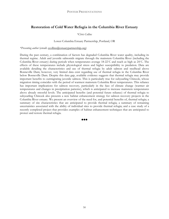# **Restoration of Cold Water Refugia in the Columbia River Estuary**

### *\*Chris Collins*

### Lower Columbia Estuary Partnership, Portland, OR

### *\*Presenting author* (email: ccollins@estuarypartnership.org)

During the past century, a combination of factors has degraded Columbia River water quality, including its thermal regime. Adult and juvenile salmonids migrate through the mainstem Columbia River (including the Columbia River estuary) during periods when temperatures average 18-22˚C and reach as high as 24˚C. The effects of these temperatures include physiological stress and higher susceptibility to predation. Data are available detailing the characteristics and use of thermal refugia by adult salmon and steelhead above Bonneville Dam; however, very limited data exist regarding use of thermal refugia in the Columbia River below Bonneville Dam. Despite this data gap, available evidence suggests that thermal refugia may provide important benefits to outmigrating juvenile salmon. This is particularly true for subyearling Chinook, whose migration timing coincides with the period of warmest mainstem Columbia River temperatures. This reliance has important implications for salmon recovery, particularly in the face of climate change (warmer air temperatures and changes in precipitation patterns), which is anticipated to increase mainstem temperatures above already stressful levels. The anticipated benefits (and potential future reliance) of thermal refugia to subyearling Chinook also presents a new habitat enhancement strategy for salmon recovery projects in the Columbia River estuary. We present an overview of the need for, and potential benefits of, thermal refugia; a summary of site characteristics that are anticipated to provide thermal refugia; a summary of remaining uncertainties associated with the ability of individual sites to provide thermal refugia; and a case study of a recently completed project that provides examples of habitat enhancement techniques that are anticipated to protect and restore thermal refugia.

88 Q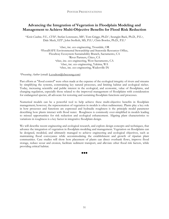# **Advancing the Integration of Vegetation in Floodplain Modeling and Management to Achieve Multi-Objective Benefits for Flood Risk Reduction**

\**Kevin Coulton, P.E., CFM1,* Stefan Lorenzato, MS2, Tom Griggs, Ph.D.3, Seungjin Baek, Ph.D., P.E.4, Dale Meck, EIT5, John Stofleth, MS, P.E.6, Chris Bowles, Ph.D., P.E.4

> 1cbec, inc. eco engineering, Troutdale, OR 2FloodSAFE Environmental Stewardship and Statewide Resources Office, Floodway Ecosystem Sustainability Branch, Sacramento, CA 3River Partners, Chico, CA 4cbec, inc. eco engineering, West Sacramento, CA 5cbec, inc. eco engineering, Yakima, WA 6cbec, inc. eco engineering, Wadesville IN

*\*Presenting Author* (email: k.coulton@cbecoeng.com)

Past efforts at "flood control" were often made at the expense of the ecological integrity of rivers and streams by simplifying the systems, constraining key natural processes, and limiting habitat and ecological niches. Today, increasing scientific and public interest in the ecological, and economic, value of floodplains, and changing regulation, especially those related to the improved management of floodplains with consideration for endangered species, all advocate for restoring and sustaining floodplain functions and processes.

Numerical models can be a powerful tool to help achieve these multi-objective benefits in floodplain management; however, the representation of vegetation in models is often rudimentary. Plants play a key role in how processes and functions are expressed and hydraulic roughness is the principle model parameter describing how plants interact with flood water. Roughness is commonly over-simplified in models leading to missed opportunities for risk reduction and ecological enhancement. Aligning plant characteristics to variations in roughness is a key factor in integrative floodplain design.

We will describe recent engineering and ecological research, and explore design concepts and techniques, that advance the integration of vegetation in floodplain modeling and management. Vegetation on floodplains can be designed, modeled, and ultimately managed to achieve engineering and ecological objectives, such as maintaining flood conveyance while accommodating the establishment and growth of riparian plant communities. Case studies will show how placement of plants can direct overbank flows, improve flood storage, reduce scour and erosion, facilitate sediment transport, and alleviate other flood risk factors, while providing critical habitat.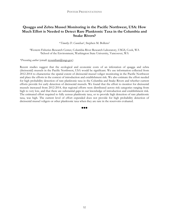# **Quagga and Zebra Mussel Monitoring in the Pacific Northwest, USA: How Much Effort is Needed to Detect Rare Planktonic Taxa in the Columbia and Snake Rivers?**

\**Timothy D. Counihan1*, Stephen M. Bollens2

1Western Fisheries Research Center, Columbia River Research Laboratory, USGS, Cook, WA 2School of the Environment, Washington State University, Vancouver, WA

### *\*Presenting author* (email: tcounihan@usgs.gov)

Recent studies suggest that the ecological and economic costs of an infestation of quagga and zebra (dreissenid) mussels in the Pacific Northwest, USA would be significant. We use information collected from 2012-2014 to characterize the spatial extent of dreissenid mussel veliger monitoring in the Pacific Northwest and place the efforts in the context of introduction and establishment risk. We also estimate the effort needed for high probability detection of rare planktonic taxa in the Columbia and Snake Rivers and whether current efforts provide for early detection of dreissenid mussels. We found that the effort to monitor for dreissenid mussels increased from 2012-2014, that regional efforts were distributed across risk categories ranging from high to very low, and that there are substantial gaps in our knowledge of introduction and establishment risk. The estimated effort required to fully census planktonic taxa, or to provide high detection of rare planktonic taxa, was high. The current level of effort expended does not provide for high probability detection of dreissenid mussel veligers or other planktonic taxa when they are rare in the reservoirs evaluated.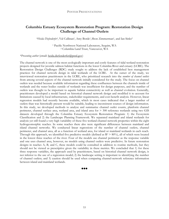# **Columbia Estuary Ecosystem Restoration Program: Restoration Design Challenge of Channel Outlets**

*\*Heida Diefenderfer*1, Val Cullinan1, Amy Borde1, Shon Zimmerman1, and Ian Sinks2

1 Pacific Northwest National Laboratory, Sequim, WA 2 Columbia Land Trust, Vancouver, WA

*\*Presenting author* (email: heida.diefenderfer@pnnl.gov)

The channel network is one of the most ecologically important and costly features of tidal wetland restoration projects designed for juvenile salmon habitat functions in the lower Columbia River and estuary (LCRE). The Restoration Design Challenges (RDC) study sought to address the lack of established best management practices for channel network design in tidal wetlands of the LCRE. At the outset of the study, we interviewed restoration practitioners in the LCRE, who prioritized research into the *number of channel outlets* from among several aspects of the channel network initially considered for the study. The focus on channel outlets was needed because available information regarding these confluences between the channels inside of wetlands and the water bodies outside of wetlands was insufficient for design purposes, and the number of outlets was thought to be important to aquatic habitat connectivity as well as channel evolution. Generally, practitioners developed a model based on historical channel network design and modified it to account for limitations caused by local infrastructure, stakeholder requirements, and cost-benefit analysis. However, linear regression models had recently become available, which in most cases indicated that a larger number of outlets than was historically present would be suitable, leading to inconsistent sources of design information. In this study, we developed methods to analyze and summarize channel outlet counts, planform channel perimeter, channel surface area, wetland area, and island area for > 300 reference wetlands using two GIS datasets developed through the Columbia Estuary Ecosystem Restoration Program: 1) the Ecosystem Classification and 2) the Landscape Planning Framework. We separated mainland and island wetlands for analysis yet still found a very high variability of these five wetland channel network properties within the eight hydrogeomorphic reaches. In some reaches there also were significant differences between mainland and island channel networks. We conducted linear regressions of the number of channel outlets, channel perimeter, and channel area, all as a function of wetland area, for island or mainland wetlands in each reach. Through this approach, we identified five predictive models (defined as  $R^2 \ge 80\%$ ), all of which were located in the lowest three reaches of the river. Four of the models use channel perimeter as the response variable and one uses channel area, however, no models using channel outlets were predictive. In future restoration designs in reaches A, B, and C, these models could be consulted in addition to routine methods, but they should not be viewed as prescriptive given the variability in these metrics. We concluded that 1) for these three response variables, the approach used by practitioners, based on historical channel network design, is not inferior to the use of a regression model; 2) the landscape setting is important to identifying the number of channel outlets; and 3) caution should be used when comparing channel-network reference information between island and mainland wetlands.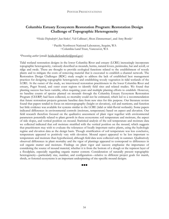# **Columbia Estuary Ecosystem Restoration Program: Restoration Design Challenge of Topographic Heterogeneity**

*\*Heida Diefenderfer*1,Ian Sinks2*,* Val Cullinan1, Shon Zimmerman1, and Amy Borde1

1 Pacific Northwest National Laboratory, Sequim, WA 2 Columbia Land Trust, Vancouver, WA

#### *\*Presenting author* (email: heida.diefenderfer@pnnl.gov)

Tidal wetland restoration designs in the lower Columbia River and estuary (LCRE) increasingly incorporate topographic heterogeneity, variously described as mounds, berms, natural levees, peninsulas, bar and scroll, or ridge and swale. These are thought to provide ecological functions related to the establishment of woody plants and to mitigate the costs of removing material that is excavated to establish a channel network. The Restoration Design Challenges (RDC) study sought to address the lack of established best management practices for designing topographic heterogeneity and establishing woody vegetation in tidal wetlands of the LCRE. At the outset of the study, we interviewed restoration practitioners in the lower Columbia River and estuary, Puget Sound, and outer coast regions to identify field sites and related studies. We found that planting success has been variable, often requiring years and multiple planting efforts to establish. However, no baseline counts of species planted on mounds through the Columbia Estuary Ecosystem Restoration Program (CEERP) had been collected, so mortality could not be estimated, which led to a recommendation that future restoration projects generate baseline data from new sites for this purpose. Our literature review found that papers tended to focus on microtopography (height or elevation), soil and nutrients, and function but little evidence was available for systems similar to the LCRE (tidal or tidal-fluvial wetlands). Some papers indicated differences in environmental controls (moisture, temperature) based on aspect and elevation. Our field research therefore focused on the qualitative assessment of plant vigor together with environmental parameters potentially related to plant growth in these ecosystems: soil temperature and moisture, the aspect of side slopes, and vertical position on mound. Statistical analysis of the soil temperature and moisture data we collected indicated that soil moisture stratified with the vertical position on the mound, which suggests that practitioners may wish to evaluate the tolerances of locally important native plants, using the hydrologic regime and elevation data as the design basis. Though stratification of soil temperature was less conclusive, temperature appeared to positively vary with elevation. Mound aspect appeared to be less important to temperature and moisture than hypothesized, although field data were collected only in summer. Qualitatively observed differences in plant mortality and the vigor of plantings appeared to correspond to differences in soil organic matter and moisture. Findings on plant vigor and success emphasize the importance of considering the source of mound material, whether it is from the bottom of a slough or the topmost layer of a floodplain, especially regarding organic matter content. Consideration of naturally present topographic heterogeneity—particularly size, number, and configuration—relative to different project goals for marsh, shrub, or forested ecosystems is an important underpinning of site-specific mound designs.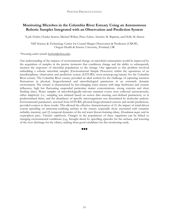# **Monitoring Microbes in the Columbia River Estuary Using an Autonomous Robotic Sampler Integrated with an Observation and Prediction System**

*\*Lydie Herfort*, Charles Seaton, Michael Wilkin, Peter Zuber, António M. Baptista, and Holly M. Simon

NSF Science & Technology Center for Coastal Margin Observation & Prediction (CMOP), Oregon Health & Science University, Portland, OR

### *\*Presenting author* (email: herfort@ohsu.edu)

Our understanding of the impacts of environmental change on microbial communities would be improved by the acquisition of samples in the precise moments that conditions change and the ability to subsequently monitor the responses of microbial populations to the change. Our approach to this problem involved embedding a robotic microbial sampler (Environmental Sample Processor) within the operations of an interdisciplinary observation and prediction system (SATURN; www.stccmop.org/saturn) for the Columbia River estuary. The Columbia River estuary provided an ideal testbed for the challenge of capturing transient fluctuations in physical, biogeochemical and microbiological parameters in an extremely dynamic environment. The estuary is characterized by fast-changing water masses with large freshwater and oceanic influences, high but fluctuating suspended particulate matter concentrations, strong currents and short flushing times. Water samples of microbiologically-relevant transient events were collected autonomously, either adaptively (i.e., sampling was initiated based on sensor data meeting user-defined parameters) or at predetermined times, and the abundance of specific microorganisms was determined by molecular analysis. Environmental parameters, assessed from SATURN physical-biogeochemical sensors and model predictions, provided context to these results. This allowed the effective characterization of (1) the impact of wind-driven coastal upwelling on ammonia-oxidizing archaea in the estuary (especially those associated with estuarine turbidity maxima); and (2) temporal dynamics of the red water bloom-forming ciliate, *Mesodinium major*, and its cryptophyte prey, *Teleaulax amphioxeia*. Changes in the populations of these organisms can be linked to changing environmental conditions (e.g., brought about by upwelling episodes for the archaea, and lowering of the river discharge for the ciliate), making them good candidates for this monitoring study.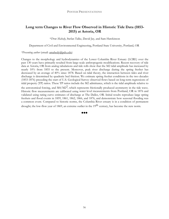# **Long term Changes to River Flow Observed in Historic Tide Data (1853- 2015) at Astoria, OR**

\**Drew Mahedy*, Stefan Talke, David Jay, and Sam Hawkinson

Department of Civil and Environmental Engineering, Portland State University, Portland, OR

### *\*Presenting author* (email: amahedy@pdx.edu)

Changes to the morphology and hydrodynamics of the Lower Columbia River Estuary (LCRE) over the past 130 years have primarily resulted from large-scale anthropogenic modifications. Recent recovery of tide data at Astoria, OR from analog tabulations and tide rolls show that the M2 tidal amplitude has increased by nearly 10% from 1855 to the present. Moreover, peak river discharge during the spring freshet has decreased by an average of 40% since 1878. Based on tidal theory, the interaction between tides and river discharge is determined by quadratic bed friction. We estimate spring freshet conditions in the two decades (1853-1876) preceding the start of U.S. Geological Survey observed flows based on long-term regressions of tidal property (TP) ratios. These TP ratios include the M2 admittance, which is the tidal amplitude relative to the astronomical forcing, and  $M4/M2^2$ , which represents frictionally produced asymmetry in the tide wave. Historic flow measurements are calibrated using water level measurements from Portland, OR in 1876 and validated using rating curve estimates of discharge at The Dalles, OR. Initial results reproduce large spring freshets and flood events in 1859, 1861, 1862, 1866, and 1876, and demonstrate how seasonal flooding was a common event. Compared to historic norms, the Columbia River estuary is in a condition of permanent drought; the low-flow year of 1869, an extreme outlier in the 19<sup>th</sup> century, has become the new norm.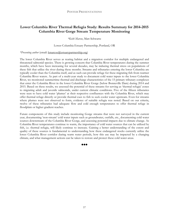# **Lower Columbia River Thermal Refugia Study: Results Summary for 2014-2015 Columbia River Gorge Stream Temperature Monitoring**

*\*Keith Marcoe*, Matt Schwartz

Lower Columbia Estuary Partnership, Portland, OR

### *\*Presenting author* (email: kmarcoe@estuarypartnership.org)

The lower Columbia River serves as rearing habitat and a migration corridor for multiple endangered and threatened salmonid species. There is growing concern that Columbia River temperatures during the summer months, which have been increasing for several decades, may be inducing thermal stress on populations of these fish that utilize the river during these months. Streams and tributaries entering the lower Columbia are typically cooler than the Columbia itself, and as such can provide refuge for these migrating fish from warmer Columbia River waters. As part of a multi-year study to document cold water inputs to the lower Columbia River, we monitored summertime thermal and discharge characteristics of the 15 primary tributary complexes that enter the Columbia River in the lower Columbia River Gorge (below Bonneville Dam) during 2014 and 2015. Based on these results, we assessed the potential of these streams for serving as 'thermal refugia' zones to migrating adult and juvenile salmonids, under current climatic conditions. Five of the fifteen tributaries were seen to have cold water 'plumes' at their respective confluences with the Columbia River, which may offer thermal refuge directly or provide thermal cues to fish to seek cooler water upstream. Even for streams where plumes were not observed to form, evidence of suitable refugia was noted. Based on our criteria, twelve of these tributaries had adequate flow and cold enough temperatures to offer thermal refuge in floodplain or higher gradient reaches.

Future components of this study include monitoring Gorge streams that were not surveyed in the current year, documenting 'non-stream' cold water inputs such as groundwater, outfalls, etc., documenting cold water sources downstream of the Columbia River Gorge, and assessing potential impacts due to climate change. As Columbia River temperatures continue to warm, the importance of cold water sources that can be utilized by fish, i.e. thermal refugia, will likely continue to increase. Gaining a better understanding of the extent and quality of these sources is fundamental to understanding how these endangered stocks currently utilize the lower Columbia River corridor during warm water periods, how this use may be impacted by a changing climate, and what management actions can be taken to restore and protect these cold water areas.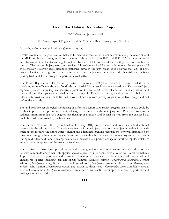# **Trestle Bay Habitat Restoration Project**

### \**Gail Saldana* and Justin Saydell

### US Army Corps of Engineers and the Columbia River Estuary Study Taskforce

### *\*Presenting author* (email: gail.l.saldana@usace.army.mil)

Trestle Bay is a jetty lagoon feature that was formed as a result of sediment accretion along the ocean side of the MCR South Jetty during initial construction of the jetty between 1885 and 1895. 628 acres of intertidal and shallow subtidal habitat are largely enclosed by the 8,800‐ft portion of the South Jetty Root that bisects the bay. The permeable jetty structure provides full exchange of tidal water volume over the complete tidal cycle through relatively large circuitous pathways between the jetty rocks. It is believed that lack of light, water velocities and length of pathways are a deterrent for juvenile salmonids and other fish species from passing back‐and‐forth through the permeable rock jetty.

The Trestle Bay Section 1135 Project (constructed in August 1995) lowered a 500‐ft segment of the jetty providing more efficient ebb and flood tide and partial fish access into the enclosed bay. This lowered jetty segment provided a solitary access/egress point for the entire 628 acres of enclosed habitat. Salmon and Steelhead juveniles typically enter shallow embayments like Trestle Bay during flood tide and exit before ebb tide, which provides the juvenile fish with two  $\sim$  6-hour windows per day to get into the bay, forage, and exit before the ebb tide.

Pre- and post-project biological monitoring data for the Section 1135 Project suggest that fish access could be further improved by opening up additional targeted segments of the relic jetty root. Pre- and post-project sediment monitoring data also suggest that flushing of nutrients and detrital material from the enclosed bay could be further improved by such actions.

The recent restoration effort (completed in February 2016) created seven additional spatially distributed openings in the relic jetty root. Lowering segments of the relic jetty root down to adjacent grade will provide open access through the entire water column; and additional openings through the jetty will distribute flow quantities through a larger composite cross sectional area, thereby reducing maximum entry and exit velocities during mid-tides. Additional openings would also increase the export/exchange of intertidal inputs, which are an important component of the estuarine food web.

The constructed project will provide improved foraging and rearing conditions and increased duration for juvenile salmonids and other fish species access/egress to important shallow‐water and intertidal habitat. Improved access, opportunity and ecological function are expected to benefit several threatened and endangered species including: fall and spring/summer Chinook salmon (*Oncorhynchus tshawytscha*), chum salmon (*Oncorhynchus keta*), Snake River sockeye salmon (*Oncorhynchus nerka*), steelhead trout (*Oncorhynchus mykiss*), coho salmon (*Oncorhynchus kisutch*) and coastal cutthroat trout (*Oncorhynchus clarki*).Candidate species such as Coho salmon *Oncorhynchus kisutch*) also are expected to benefit from improved access, opportunity and ecological function of the bay.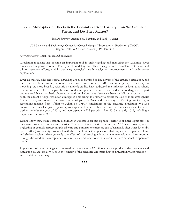# **Local Atmospheric Effects in the Columbia River Estuary: Can We Simulate Them, and Do They Matter?**

### \**Isabella Scroccaro*, António M. Baptista, and Paul J. Turner

NSF Science and Technology Center for Coastal Margin Observation & Prediction (CMOP), Oregon Health & Science University, Portland OR

### *\*Presenting author* (email: scroccar@ohsu.edu)

Circulation modeling has become an important tool in understanding and managing the Columbia River estuary as a regional resource. That type of modeling has offered insights into ecosystem restoration and salmon recovery efforts, and in balancing ecological health, navigation improvements, and hydropower exploration.

River discharges, tides and coastal upwelling are all recognized as key drivers of the estuary's circulation, and therefore have been carefully accounted for in modeling efforts by CMOP and other groups. However, few modeling (or, more broadly, scientific or applied) studies have addressed the influence of local atmospheric forcing in detail. This is in part because local atmospheric forcing is perceived as secondary, and in part because available atmospheric observations and simulations have historically been spatially very coarse.

With the advent of high-resolution atmospheric modeling, it is timely to revisit the role of local atmospheric forcing. Here, we contrast the effects of third party (NOAA and University of Washington) forcing at resolutions ranging from 4/3km to 32km, on CMOP simulations of the estuarine circulation. We also contrast these results against ignoring atmospheric forcing within the estuary. Simulations are for three distinct periods: the year of 2014, and two separate ~30d periods in late 2015 and early 2016, including a major winter storm in 2015.

Results show that, while certainly secondary in general, local atmospheric forcing is at times significant for important estuarine features and metrics. This is particularly visible during the 2015 winter storm, where neglecting or coarsely representing local wind and atmospheric pressure can substantially alter water levels (by up to  $\sim$ 20cm) and salinity intrusion length (by over 5km), with implications that may extend to plume volume and shallow habitat. More generally, the effect of local forcing is important estuary-wide in winter months, through the wind and atmospheric pressure fields; and local solar radiation influences seasonal temperature trends.

Implications of these findings are discussed in the context of CMOP operational products (daily forecasts and simulation databases), as well as in the context of the scientific understanding of circulation, water retention and habitat in the estuary.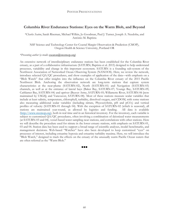# **Columbia River Endurance Stations: Eyes on the Warm Blob, and Beyond**

*\*Charles Seaton*, Sarah Riseman, Michael Wilkin, Jo Goodman, Paul J. Turner, Joseph A. Needoba, and António M. Baptista

NSF Science and Technology Center for Coastal Margin Observation & Prediction (CMOP), Oregon Health & Science University, Portland OR

### *\*Presenting author* (e-mail: cseaton@stccmop.org)

An extensive network of interdisciplinary endurance stations has been established for the Columbia River estuary, as a part of a collaborative infrastructure (SATURN; Baptista et al. 2015) designed to help understand processes, variability and change in this important ecosystem. SATURN is a founding sub-system of the Northwest Association of Networked Ocean Observing System (NANOOS). Here, we review the network, introduce selected QA/QC procedures, and show examples of application of the data—with emphasis on a "Blob Watch" that offer insights into the influence on the Columbia River estuary of the 2015 Pacific Northwest Blob. Anchoring the observation network are long-term stations that capture system characteristics at the near-plume (SATURN-02), North (SATURN-01) and Navigation (SATURN-03) channels, as well as at the entrance of lateral bays (Baker Bay, SATURN-07; Youngs Bay, SATURN-09; Cathlamet Bay, SATURN-04) and upriver (Beaver Army, SATURN-05; Willamette River, SATURN-06 [now maintained by USGS]; and Vancouver, SATURN-08). Most of these stations measure scalar variables that include at least salinity, temperature, chlorophyll, turbidity, dissolved oxygen, and CDOM, with some stations also measuring additional scalar variables (including nitrate, Phycoerythrin, pH and pCO<sub>2</sub>) and vertical profiles of velocity (SATURN-01 through 04). With the exception of SATURN-02 (which is seasonal), all stations are maintained year-round, as allowed by logistics and funding. All data is available (http://www.stccmop.org), both in real time and in an historical inventory. For the inventory, each variable is subject to customized QA/QC procedures, often involving a combination of deionized water measurements (at SATURN-03 and 04), vessel-based water sampling near stations, and correlations with other stations. Here we will describe the procedure used for nitrate in the lower estuary stations, with emphasis on SATURN-01, 03 and 04. Station data has been used to support a broad range of scientific analyses, model benchmarks, and management decisions. Web-based "Watches" have also been developed to keep customized "eyes" on processes of interest, including estuarine hypoxia and estuarine turbidity maxima. Here, we will introduce the "Blob Watch," designed to track the effects on the estuary of the unusually warm Pacific Ocean waters that are often referred as the "Warm Blob."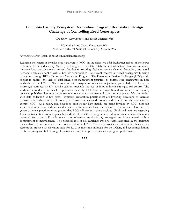# **Columbia Estuary Ecosystem Restoration Program: Restoration Design Challenge of Controlling Reed Canarygrass**

*\*Ian Sinks*1*,* Amy Borde2, and Heida Diefenderfer2

1Columbia Land Trust, Vancouver, WA 2Pacific Northwest National Laboratory, Sequim, WA

#### *\*Presenting Author* (email: isinks@columbialandtrust.org)

Reducing the extent of invasive reed canarygrass (RCG) in the extensive tidal freshwater region of the lower Columbia River and estuary (LCRE) is thought to facilitate establishment of native plant communities, improve food web dynamics, prevent floodplain armoring, facilitate passive channel formation, and avoid barriers to establishment of natural benthic communities. Concurrent research into reed canarygrass function is ongoing through BPA's Ecosystem Monitoring Program. The Restoration Design Challenges (RDC) study sought to address the lack of established best management practices to control reed canarygrass in tidal wetlands of the LCRE. The programmatic ecosystem-restoration objectives, particularly the focus on hydrologic connectivity for juvenile salmon, preclude the use of impoundment strategies for control. The study team conducted outreach to practitioners in the LCRE and in Puget Sound and outer coast regions, reviewed published literature on control methods and environmental factors, and completed field site review with data collection at two sites. Typically, restoration practitioners are lowering elevations to increase hydrologic impedance of RCG growth, or constructing elevated mounds and planting woody vegetation to control RCG. As a result, mid-elevations (non-woody high marsh) are being invaded by RCG, although some field sites show indications that native communities have the potential to compete. However, in general, there is practitioner resignation that RCG will persist in these habitats. Published literature regarding RCG control in tidal areas is sparse but indicates that with a strong understanding of site conditions there is a potential for control if wide scale, comprehensive (multi-factor) strategies are implemented with a commitment to maintenance. The potential role of soil nutrients was one factor identified in the literature review that had not previously been considered in the LCRE. The study provides a review of implications for restoration practice, an elevation table for RCG at river mile intervals for the LCRE, and recommendations for future study and field testing of control methods to improve restoration program performance.

**000**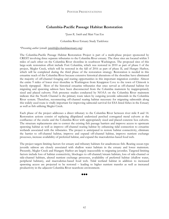# **Columbia-Pacific Passage Habitat Restoration**

*\*Jason R. Smith* and Matt Van Ess

### Columbia River Estuary Study Taskforce

### *\*Presenting author* (email: jsmith@columbiaestuary.org)

The Columbia-Pacific Passage Habitat Restoration Project is part of a multi-phase project sponsored by CREST involving three separate tributaries to the Columbia River estuary. The three sites are located within 5 miles of each other on the Columbia River shoreline in southwest Washington. The proposed sites of this large-scale restoration effort include Fort Columbia, which was restored in 2010 as part of phase I of the project, Megler Creek, which will be restored in the fall of 2016 as part of phase II, and Hungry Harbor, which will be completed during the third phase of the restoration strategy. Restoration is needed in this estuarine reach of the Columbia River because extensive historical alterations of the shoreline have eliminated the majority of off-channel foraging and rearing opportunities in this important migration corridor. Almost the entire 9 miles of lower river shoreline in Washington from Knappton Cove to the town of Chinook is heavily riprapped. Most of the historical estuarine tributaries that once served as off-channel habitat for migrating and spawning salmon have been disconnected from the Columbia mainstem by inappropriately sized and placed culverts. Fish presence studies conducted by NOAA on the Columbia River mainstem indicate that the North Channel is the primary route taken by outgoing juvenile salmonids in the Columbia River system. Therefore, reconnecting off-channel rearing habitat necessary for migrating salmonids along this widely used route is vitally important for improving salmonid survival for ESA listed fishes in the Estuary as well as fish utilizing Megler Creek.

Each phase of the project addresses a direct tributary to the Columbia River between river mile 8 and 14. Restoration actions consist of replacing dilapidated undersized perched corrugated metal culverts at the confluence of the creeks and the Columbia River with appropriately sized and placed concrete box culverts. The structure replacements aim to correct the existing fish passage barriers and improve access to upstream spawning habitat as well as improve off-channel rearing habitat by enhancing tidal connection to estuarine wetlands associated with the tributaries. The project is anticipated to restore habitat connectivity, eliminate the barrier to off-channel habitat, improve and expand off-channel habitat, improve nutrient exchange processes, increase availability of preferred habitat, and expand the macrodetrius-based food web.

The project targets limiting factors for estuary and tributary habitats for anadromous fish. Rearing ocean-type juvenile salmon are closely associated with shallow water habitats in the estuary and lower mainstem. Presently, Megler Creek and Hungary Harbor are largely inaccessible to migrating juveniles. Targeted limiting factors include loss of habitat connectivity, blockages to off-channel/stream habitats, loss of side-channel or side-channel habitats, altered nutrient exchange processes, availability of preferred habitat (shallow water, peripheral habitats), and macrodetius-based food web. Tidal wetland habitat in addition to increased spawning access are projected to be restored – leading to higher nutrient transfer as well as increased productivity in the adjacent Columbia River nearshore environment.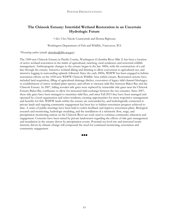# **The Chinook Estuary: Intertidal Wetland Restoration in an Uncertain Hydrologic Future**

*\*Alex Uber*, Nicole Czarnomski and Donna Bighouse

Washington Department of Fish and Wildlife, Vancouver, WA

### *\*Presenting author* (email: uberahu@dfw.wa.gov)

The 1500‐acre Chinook Estuary in Pacific County, Washington (Columbia River Mile 5) has been a location of active wetland restoration in the midst of agricultural, ranching, rural residences and terrestrial wildlife management. Anthropogenic changes to the estuary began in the late 1800s, with the construction of a rail line through the estuary. Intensive wetland diking and draining to allow conversion to agricultural use, and intensive logging in surrounding uplands followed. Since the early 2000s, WDFW has been engaged in habitat restoration efforts on the 1050‐acre WDFW Chinook Wildlife Area within estuary. Restoration actions have included land acquisition, filling of agricultural drainage ditches, excavation of legacy tidal channel blockages, re-establishment of native wetland plant species, and efforts to increase tidal flux between Baker Bay and the Chinook Estuary. In 2007, failing wooden tide gates were replaced by retractable tide gates near the Chinook Estuary‐Baker Bay confluence to allow for increased tidal exchange between the two estuaries. Since 2007, these tide gates have been managed to maximize tidal flux, and since Fall 2015 they have been managed and operated by a local organization and select residents, creating opportunities for more responsive management and benefits for fish. WDFW lands within the estuary are surrounded by, and hydrologically connected to private lands and ongoing community engagement has been key to habitat restoration progress achieved to date. A series of public meetings have been held to solicit feedback and improve restoration plans. Biological research and monitoring, hydrologic modeling, and the installation of a telemetric flow, stage, and precipitation monitoring station on the Chinook River are tools used to continue community education and engagement. Concerns have been raised by private landowners regarding the effects of tide gate management and inundation in the estuary driven by precipitation events. Potential sea level rise and increased storm intensity driven by climate change will compound the need for continued monitoring, restoration and community engagement.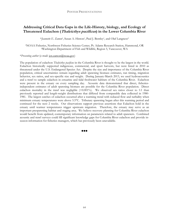# **Addressing Critical Data Gaps in the Life-History, biology, and Ecology of Threatened Eulachon (Thaleicthys pacificus) in the Lower Columbia River**

\**Jeannette E. Zamon*1, Susan A. Hinton1, Paul J. Bentley1, and Olaf Langness2

1NOAA Fisheries, Northwest Fisheries Science Center, Pt. Adams Research Station, Hammond, OR 2Washington Department of Fish and Wildlife, Region 5, Vancouver, WA

### \**Presenting author* (e-mail: jen.zamon@noaa.gov)

The population of eulachon *Thaleicthys pacificus* in the Columbia River is thought to be the largest in the world. Eulachon historically supported indigenous, commercial, and sport harvests, but were listed in 2010 as threatened under the U.S. Endangered Species Act. Despite the size and importance of the Columbia River population, critical uncertainties remain regarding adult spawning biomass estimates, run timing, migration behavior, sex ratios, and sex-specific size and weight. During January-March 2013, we used hydroacoustics and a trawl to sample eulachon in estuarine and tidal freshwater habitats of the Columbia River. Eulachon were present in the estuary on every sampling day. Acoustic data demonstrated that direct, fisheriesindependent estimates of adult spawning biomass are possible for the Columbia River population. Direct eulachon mortality in the trawl was negligible  $(<0.001\%)$ . We observed sex ratios closer to 1:1 than previously reported and length-weight distributions that differed from comparable data collected in 1980- 1981. The largest catches of eulachon occurred after a warming trend with reduced flow and turbidity when minimum estuary temperatures were above 5.5°C. Tributary spawning began after this warming period and continued for the next 2 weeks. Our observations support previous assertions that Eulachon hold in the estuary until warmer temperatures trigger upstream migration. Therefore, the estuary may serve as an important prespawning habitat and staging area. We believe recovery planning for Columbia River eulachon would benefit from updated, contemporary information on parameters related to adult spawners. Combined acoustic and trawl surveys could fill significant knowledge gaps for Columbia River eulachon and provide inseason information for fisheries managers, which has previously been unavailable.

88 Q